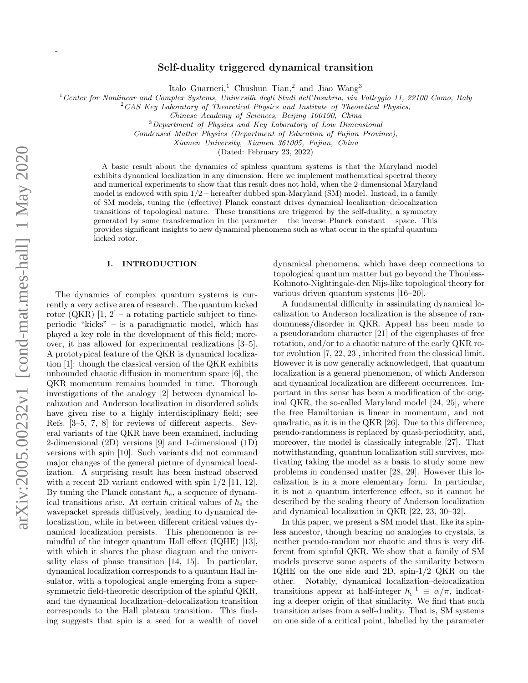-

# Self-duality triggered dynamical transition

Italo Guarneri,<sup>1</sup> Chushun Tian,<sup>2</sup> and Jiao Wang<sup>3</sup>

<sup>1</sup> Center for Nonlinear and Complex Systems, Università degli Studi dell'Insubria, via Valleggio 11, 22100 Como, Italy

<sup>2</sup>CAS Key Laboratory of Theoretical Physics and Institute of Theoretical Physics,

<sup>3</sup>Department of Physics and Key Laboratory of Low Dimensional

Condensed Matter Physics (Department of Education of Fujian Province),

Xiamen University, Xiamen 361005, Fujian, China

(Dated: February 23, 2022)

A basic result about the dynamics of spinless quantum systems is that the Maryland model exhibits dynamical localization in any dimension. Here we implement mathematical spectral theory and numerical experiments to show that this result does not hold, when the 2-dimensional Maryland model is endowed with spin  $1/2$  – hereafter dubbed spin-Maryland (SM) model. Instead, in a family of SM models, tuning the (effective) Planck constant drives dynamical localization–delocalization transitions of topological nature. These transitions are triggered by the self-duality, a symmetry generated by some transformation in the parameter – the inverse Planck constant – space. This provides significant insights to new dynamical phenomena such as what occur in the spinful quantum kicked rotor.

#### I. INTRODUCTION

The dynamics of complex quantum systems is currently a very active area of research. The quantum kicked rotor (QKR)  $[1, 2]$  – a rotating particle subject to timeperiodic "kicks" – is a paradigmatic model, which has played a key role in the development of this field; moreover, it has allowed for experimental realizations [3–5]. A prototypical feature of the QKR is dynamical localization [1]: though the classical version of the QKR exhibits unbounded chaotic diffusion in momentum space [6], the QKR momentum remains bounded in time. Thorough investigations of the analogy [2] between dynamical localization and Anderson localization in disordered solids have given rise to a highly interdisciplinary field; see Refs. [3–5, 7, 8] for reviews of different aspects. Several variants of the QKR have been examined, including 2-dimensional (2D) versions [9] and 1-dimensional (1D) versions with spin [10]. Such variants did not command major changes of the general picture of dynamical localization. A surprising result has been instead observed with a recent 2D variant endowed with spin  $1/2$  [11, 12]. By tuning the Planck constant  $h_e$ , a sequence of dynamical transitions arise. At certain critical values of  $h_e$  the wavepacket spreads diffusively, leading to dynamical delocalization, while in between different critical values dynamical localization persists. This phenomenon is remindful of the integer quantum Hall effect (IQHE) [13], with which it shares the phase diagram and the universality class of phase transition [14, 15]. In particular, dynamical localization corresponds to a quantum Hall insulator, with a topological angle emerging from a supersymmetric field-theoretic description of the spinful QKR, and the dynamical localization–delocalization transition corresponds to the Hall plateau transition. This finding suggests that spin is a seed for a wealth of novel

dynamical phenomena, which have deep connections to topological quantum matter but go beyond the Thouless-Kohmoto-Nightingale-den Nijs-like topological theory for various driven quantum systems [16–20].

A fundamental difficulty in assimilating dynamical localization to Anderson localization is the absence of randomnness/disorder in QKR. Appeal has been made to a pseudorandom character [21] of the eigenphases of free rotation, and/or to a chaotic nature of the early QKR rotor evolution [7, 22, 23], inherited from the classical limit. However it is now generally acknowledged, that quantum localization is a general phenomenon, of which Anderson and dynamical localization are different occurrences. Important in this sense has been a modification of the original QKR, the so-called Maryland model [24, 25], where the free Hamiltonian is linear in momentum, and not quadratic, as it is in the QKR [26]. Due to this difference, pseudo-randomness is replaced by quasi-periodicity, and, moreover, the model is classically integrable [27]. That notwithstanding, quantum localization still survives, motivating taking the model as a basis to study some new problems in condensed matter [28, 29]. However this localization is in a more elementary form. In particular, it is not a quantum interference effect, so it cannot be described by the scaling theory of Anderson localization and dynamical localization in QKR [22, 23, 30–32].

In this paper, we present a SM model that, like its spinless ancestor, though bearing no analogies to crystals, is neither pseudo-random nor chaotic and thus is very different from spinful QKR. We show that a family of SM models preserve some aspects of the similarity between IQHE on the one side and 2D, spin-1/2 QKR on the other. Notably, dynamical localization–delocalization transitions appear at half-integer  $\hbar_e^{-1} \equiv \alpha/\pi$ , indicating a deeper origin of that similarity. We find that such transition arises from a self-duality. That is, SM systems on one side of a critical point, labelled by the parameter

Chinese Academy of Sciences, Beijing 100190, China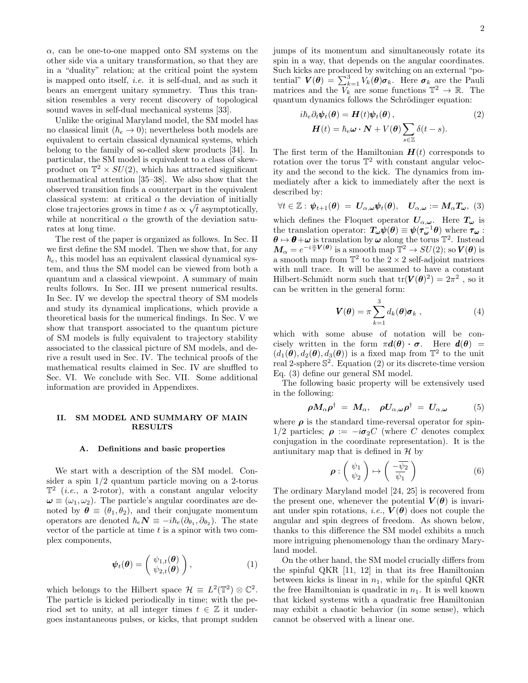$\alpha$ , can be one-to-one mapped onto SM systems on the other side via a unitary transformation, so that they are in a "duality" relation; at the critical point the system is mapped onto itself, i.e. it is self-dual, and as such it bears an emergent unitary symmetry. Thus this transition resembles a very recent discovery of topological sound waves in self-dual mechanical systems [33].

Unlike the original Maryland model, the SM model has no classical limit  $(h_e \rightarrow 0)$ ; nevertheless both models are equivalent to certain classical dynamical systems, which belong to the family of so-called skew products [34]. In particular, the SM model is equivalent to a class of skewproduct on  $\mathbb{T}^2 \times SU(2)$ , which has attracted significant mathematical attention [35–38]. We also show that the observed transition finds a counterpart in the equivalent classical system: at critical  $\alpha$  the deviation of initially close trajectories grows in time t as  $\propto \sqrt{t}$  asymptotically, while at noncritical  $\alpha$  the growth of the deviation saturates at long time.

The rest of the paper is organized as follows. In Sec. II we first define the SM model. Then we show that, for any  $\hbar$ <sub>e</sub>, this model has an equivalent classical dynamical system, and thus the SM model can be viewed from both a quantum and a classical viewpoint. A summary of main reults follows. In Sec. III we present numerical results. In Sec. IV we develop the spectral theory of SM models and study its dynamical implications, which provide a theoretical basis for the numerical findings. In Sec. V we show that transport associated to the quantum picture of SM models is fully equivalent to trajectory stability associated to the classical picture of SM models, and derive a result used in Sec. IV. The technical proofs of the mathematical results claimed in Sec. IV are shuffled to Sec. VI. We conclude with Sec. VII. Some additional information are provided in Appendixes.

## II. SM MODEL AND SUMMARY OF MAIN RESULTS

### A. Definitions and basic properties

We start with a description of the SM model. Consider a spin 1/2 quantum particle moving on a 2-torus  $\mathbb{T}^2$  (*i.e.*, a 2-rotor), with a constant angular velocity  $\omega \equiv (\omega_1, \omega_2)$ . The particle's angular coordinates are denoted by  $\boldsymbol{\theta} \equiv (\theta_1, \theta_2)$ , and their conjugate momentum operators are denoted  $\hbar_e N \equiv -i\hbar_e(\partial_{\theta_1}, \partial_{\theta_2})$ . The state vector of the particle at time  $t$  is a spinor with two complex components,

$$
\boldsymbol{\psi}_t(\boldsymbol{\theta}) = \begin{pmatrix} \psi_{1,t}(\boldsymbol{\theta}) \\ \psi_{2,t}(\boldsymbol{\theta}) \end{pmatrix}, \qquad (1)
$$

which belongs to the Hilbert space  $\mathcal{H} \equiv L^2(\mathbb{T}^2) \otimes \mathbb{C}^2$ . The particle is kicked periodically in time; with the period set to unity, at all integer times  $t \in \mathbb{Z}$  it undergoes instantaneous pulses, or kicks, that prompt sudden jumps of its momentum and simultaneously rotate its spin in a way, that depends on the angular coordinates. Such kicks are produced by switching on an external "potential"  $\mathbf{V}(\boldsymbol{\theta}) = \sum_{k=1}^{3} V_k(\boldsymbol{\theta}) \boldsymbol{\sigma}_k$ . Here  $\boldsymbol{\sigma}_k$  are the Pauli matrices and the  $\overline{V}_k^{\overline{n-1}}$  some functions  $\mathbb{T}^2 \to \mathbb{R}$ . The quantum dynamics follows the Schrödinger equation:

$$
i\hbar_e \partial_t \psi_t(\theta) = H(t)\psi_t(\theta),
$$
  
 
$$
H(t) = \hbar_e \omega \cdot \mathbf{N} + V(\theta) \sum_{s \in \mathbb{Z}} \delta(t - s).
$$
 (2)

The first term of the Hamiltonian  $H(t)$  corresponds to rotation over the torus  $\mathbb{T}^2$  with constant angular velocity and the second to the kick. The dynamics from immediately after a kick to immediately after the next is described by:

$$
\forall t \in \mathbb{Z}: \psi_{t+1}(\boldsymbol{\theta}) = \mathbf{U}_{\alpha,\boldsymbol{\omega}} \psi_t(\boldsymbol{\theta}), \quad \mathbf{U}_{\alpha,\boldsymbol{\omega}} := \mathbf{M}_{\alpha} \mathbf{T}_{\boldsymbol{\omega}}, \tag{3}
$$

which defines the Floquet operator  $U_{\alpha,\omega}$ . Here  $T_{\omega}$  is the translation operator:  $T_{\omega}\psi(\theta) \equiv \psi(\tau_{\omega}^{-1}\theta)$  where  $\tau_{\omega}$ :  $\theta \mapsto \theta + \omega$  is translation by  $\omega$  along the torus  $\mathbb{T}^2$ . Instead  $\bm{M}_{\alpha}=e^{-i\frac{\alpha}{\pi}\bm{V}(\bm{\theta})}$  is a smooth map  $\overline{\mathbb{T}}^2\to SU(2) ;$  so  $\bm{V}(\bm{\theta})$  is a smooth map from  $\mathbb{T}^2$  to the  $2 \times 2$  self-adjoint matrices with null trace. It will be assumed to have a constant Hilbert-Schmidt norm such that  $tr(\mathbf{V}(\boldsymbol{\theta})^2) = 2\pi^2$ , so it can be written in the general form:

$$
\boldsymbol{V}(\boldsymbol{\theta}) = \pi \sum_{k=1}^{3} d_k(\boldsymbol{\theta}) \boldsymbol{\sigma}_k , \qquad (4)
$$

which with some abuse of notation will be concisely written in the form  $\pi d(\theta) \cdot \sigma$ . Here  $d(\theta) =$  $(d_1(\boldsymbol{\theta}), d_2(\boldsymbol{\theta}), d_3(\boldsymbol{\theta}))$  is a fixed map from  $\mathbb{T}^2$  to the unit real 2-sphere S 2 . Equation (2) or its discrete-time version Eq. (3) define our general SM model.

The following basic property will be extensively used in the following:

$$
\rho M_{\alpha}\rho^{\dagger} = M_{\alpha}, \quad \rho U_{\alpha,\omega}\rho^{\dagger} = U_{\alpha,\omega} \tag{5}
$$

where  $\rho$  is the standard time-reversal operator for spin-1/2 particles;  $\rho := -i\sigma_2 C$  (where C denotes complex conjugation in the coordinate representation). It is the antiunitary map that is defined in  $H$  by

$$
\rho: \left(\begin{array}{c} \psi_1\\ \psi_2 \end{array}\right) \mapsto \left(\begin{array}{c} -\overline{\psi_2}\\ \overline{\psi_1} \end{array}\right) \tag{6}
$$

The ordinary Maryland model [24, 25] is recovered from the present one, whenever the potential  $V(\theta)$  is invariant under spin rotations, *i.e.*,  $V(\theta)$  does not couple the angular and spin degrees of freedom. As shown below, thanks to this difference the SM model exhibits a much more intriguing phenomenology than the ordinary Maryland model.

On the other hand, the SM model crucially differs from the spinful QKR [11, 12] in that its free Hamiltonian between kicks is linear in  $n_1$ , while for the spinful QKR the free Hamiltonian is quadratic in  $n_1$ . It is well known that kicked systems with a quadratic free Hamiltonian may exhibit a chaotic behavior (in some sense), which cannot be observed with a linear one.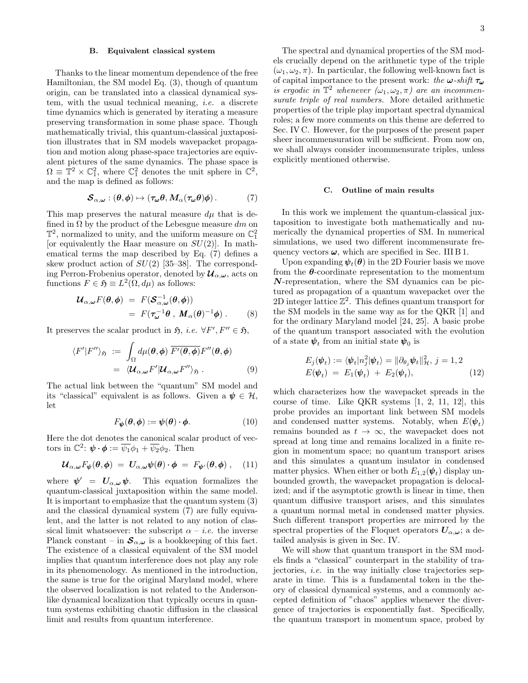### B. Equivalent classical system

Thanks to the linear momentum dependence of the free Hamiltonian, the SM model Eq. (3), though of quantum origin, can be translated into a classical dynamical system, with the usual technical meaning, i.e. a discrete time dynamics which is generated by iterating a measure preserving transformation in some phase space. Though mathematically trivial, this quantum-classical juxtaposition illustrates that in SM models wavepacket propagation and motion along phase-space trajectories are equivalent pictures of the same dynamics. The phase space is  $\Omega \equiv \mathbb{T}^2 \times \mathbb{C}^2_1$ , where  $\mathbb{C}^2_1$  denotes the unit sphere in  $\mathbb{C}^2$ , and the map is defined as follows:

$$
\mathcal{S}_{\alpha,\omega} : (\theta,\phi) \mapsto (\tau_\omega \theta, M_\alpha(\tau_\omega \theta)\phi). \tag{7}
$$

This map preserves the natural measure  $d\mu$  that is defined in  $\Omega$  by the product of the Lebesgue measure dm on  $\mathbb{T}^2$ , normalized to unity, and the uniform measure on  $\mathbb{C}^2_1$ [or equivalently the Haar measure on  $SU(2)$ ]. In mathematical terms the map described by Eq. (7) defines a skew product action of  $SU(2)$  [35–38]. The corresponding Perron-Frobenius operator, denoted by  $\mathcal{U}_{\alpha,\omega}$ , acts on functions  $F \in \mathfrak{H} \equiv L^2(\Omega, d\mu)$  as follows:

$$
\mathcal{U}_{\alpha,\omega}F(\theta,\phi) = F(\mathcal{S}_{\alpha,\omega}^{-1}(\theta,\phi))
$$
  
=  $F(\tau_{\omega}^{-1}\theta, M_{\alpha}(\theta)^{-1}\phi)$ . (8)

It preserves the scalar product in  $\mathfrak{H}, i.e. \ \forall F', F'' \in \mathfrak{H},$ 

$$
\langle F'|F''\rangle_{\mathfrak{H}} := \int_{\Omega} d\mu(\theta,\phi) \overline{F'(\theta,\phi)} F''(\theta,\phi)
$$
  
=  $\langle \mathcal{U}_{\alpha,\omega} F'| \mathcal{U}_{\alpha,\omega} F''\rangle_{\mathfrak{H}}.$  (9)

The actual link between the "quantum" SM model and its "classical" equivalent is as follows. Given a  $\psi \in \mathcal{H}$ , let

$$
F_{\boldsymbol{\psi}}(\boldsymbol{\theta}, \boldsymbol{\phi}) := \boldsymbol{\psi}(\boldsymbol{\theta}) \cdot \boldsymbol{\phi}.
$$
 (10)

Here the dot denotes the canonical scalar product of vectors in  $\mathbb{C}^2$ :  $\boldsymbol{\psi} \cdot \boldsymbol{\phi} := \overline{\psi_1} \phi_1 + \overline{\psi_2} \phi_2$ . Then

$$
\mathcal{U}_{\alpha,\omega}F_{\boldsymbol{\psi}}(\boldsymbol{\theta},\boldsymbol{\phi}) = \mathbf{U}_{\alpha,\omega}\boldsymbol{\psi}(\boldsymbol{\theta})\cdot\boldsymbol{\phi} = F_{\boldsymbol{\psi}'}(\boldsymbol{\theta},\boldsymbol{\phi})\,,\quad(11)
$$

where  $\psi' = U_{\alpha,\omega} \psi$ . This equation formalizes the quantum-classical juxtaposition within the same model. It is important to emphasize that the quantum system (3) and the classical dynamical system (7) are fully equivalent, and the latter is not related to any notion of classical limit whatsoever: the subscript  $\alpha - i.e.$  the inverse Planck constant – in  $\mathcal{S}_{\alpha,\omega}$  is a bookkeeping of this fact. The existence of a classical equivalent of the SM model implies that quantum interference does not play any role in its phenomenology. As mentioned in the introduction, the same is true for the original Maryland model, where the observed localization is not related to the Andersonlike dynamical localization that typically occurs in quantum systems exhibiting chaotic diffusion in the classical limit and results from quantum interference.

The spectral and dynamical properties of the SM models crucially depend on the arithmetic type of the triple  $(\omega_1, \omega_2, \pi)$ . In particular, the following well-known fact is of capital importance to the present work: the  $\omega$ -shift  $\tau_{\omega}$ is ergodic in  $\mathbb{T}^2$  whenever  $(\omega_1, \omega_2, \pi)$  are an incommensurate triple of real numbers. More detailed arithmetic properties of the triple play important spectral dynamical roles; a few more comments on this theme are deferred to Sec. IV C. However, for the purposes of the present paper sheer incommensuration will be sufficient. From now on, we shall always consider incommensurate triples, unless explicitly mentioned otherwise.

## C. Outline of main results

In this work we implement the quantum-classical juxtaposition to investigate both mathematically and numerically the dynamical properties of SM. In numerical simulations, we used two different incommensurate frequency vectors  $\omega$ , which are specified in Sec. III B 1.

Upon expanding  $\psi_t(\theta)$  in the 2D Fourier basis we move from the  $\theta$ -coordinate representation to the momentum  $N$ -representation, where the SM dynamics can be pictured as propagation of a quantum wavepacket over the 2D integer lattice  $\mathbb{Z}^2$ . This defines quantum transport for the SM models in the same way as for the QKR [1] and for the ordinary Maryland model [24, 25]. A basic probe of the quantum transport associated with the evolution of a state  $\psi_t$  from an initial state  $\psi_0$  is

$$
E_j(\boldsymbol{\psi}_t) := \langle \boldsymbol{\psi}_t | n_j^2 | \boldsymbol{\psi}_t \rangle = || \partial_{\theta_j} \boldsymbol{\psi}_t ||_{\mathcal{H}}^2, j = 1, 2
$$
  

$$
E(\boldsymbol{\psi}_t) = E_1(\boldsymbol{\psi}_t) + E_2(\boldsymbol{\psi}_t),
$$
 (12)

which characterizes how the wavepacket spreads in the course of time. Like QKR systems [1, 2, 11, 12], this probe provides an important link between SM models and condensed matter systems. Notably, when  $E(\psi_t)$ remains bounded as  $t \to \infty$ , the wavepacket does not spread at long time and remains localized in a finite region in momentum space; no quantum transport arises and this simulates a quantum insulator in condensed matter physics. When either or both  $E_{1,2}(\psi_t)$  display unbounded growth, the wavepacket propagation is delocalized; and if the asymptotic growth is linear in time, then quantum diffusive transport arises, and this simulates a quantum normal metal in condensed matter physics. Such different transport properties are mirrored by the spectral properties of the Floquet operators  $U_{\alpha,\omega}$ ; a detailed analysis is given in Sec. IV.

We will show that quantum transport in the SM models finds a "classical" counterpart in the stability of trajectories, i.e. in the way initially close trajectories separate in time. This is a fundamental token in the theory of classical dynamical systems, and a commonly accepted definition of "chaos" applies whenever the divergence of trajectories is exponentially fast. Specifically, the quantum transport in momentum space, probed by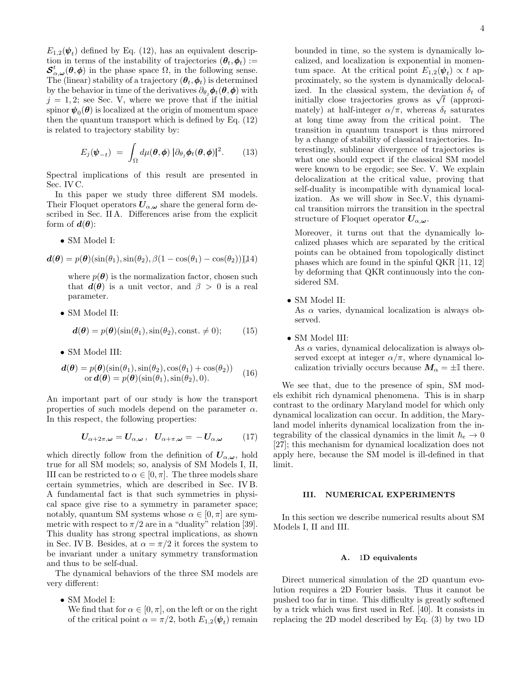$E_{1,2}(\psi_t)$  defined by Eq. (12), has an equivalent description in terms of the instability of trajectories  $(\theta_t, \phi_t) :=$  $\mathcal{S}^t_{\alpha,\omega}(\theta,\phi)$  in the phase space  $\Omega$ , in the following sense. The (linear) stability of a trajectory  $(\theta_t, \phi_t)$  is determined by the behavior in time of the derivatives  $\partial_{\theta_i} \phi_t(\theta, \phi)$  with  $j = 1, 2$ ; see Sec. V, where we prove that if the initial spinor  $\pmb{\psi}_0(\pmb{\theta})$  is localized at the origin of momentum space then the quantum transport which is defined by Eq. (12) is related to trajectory stability by:

$$
E_j(\boldsymbol{\psi}_{-t}) = \int_{\Omega} d\mu(\boldsymbol{\theta}, \boldsymbol{\phi}) \, |\partial_{\theta_j} \boldsymbol{\phi}_t(\boldsymbol{\theta}, \boldsymbol{\phi})|^2. \qquad (13)
$$

Spectral implications of this result are presented in Sec. IV C.

In this paper we study three different SM models. Their Floquet operators  $U_{\alpha,\omega}$  share the general form described in Sec. II A. Differences arise from the explicit form of  $d(\theta)$ :

• SM Model I:

$$
\boldsymbol{d}(\boldsymbol{\theta}) = p(\boldsymbol{\theta}) (\sin(\theta_1), \sin(\theta_2), \beta(1 - \cos(\theta_1) - \cos(\theta_2)) ) (14)
$$

where  $p(\theta)$  is the normalization factor, chosen such that  $d(\theta)$  is a unit vector, and  $\beta > 0$  is a real parameter.

• SM Model II:

$$
\mathbf{d}(\boldsymbol{\theta}) = p(\boldsymbol{\theta}) (\sin(\theta_1), \sin(\theta_2), \text{const.} \neq 0); \quad (15)
$$

• SM Model III:

$$
\begin{array}{ll}\n\mathbf{d}(\boldsymbol{\theta}) = p(\boldsymbol{\theta})(\sin(\theta_1), \sin(\theta_2), \cos(\theta_1) + \cos(\theta_2)) \\
\text{or } \mathbf{d}(\boldsymbol{\theta}) = p(\boldsymbol{\theta})(\sin(\theta_1), \sin(\theta_2), 0).\n\end{array} (16)
$$

An important part of our study is how the transport properties of such models depend on the parameter  $\alpha$ . In this respect, the following properties:

$$
U_{\alpha+2\pi,\omega} = U_{\alpha,\omega}, \quad U_{\alpha+\pi,\omega} = -U_{\alpha,\omega} \qquad (17)
$$

which directly follow from the definition of  $U_{\alpha,\omega}$ , hold true for all SM models; so, analysis of SM Models I, II, III can be restricted to  $\alpha \in [0, \pi]$ . The three models share certain symmetries, which are described in Sec. IV B. A fundamental fact is that such symmetries in physical space give rise to a symmetry in parameter space; notably, quantum SM systems whose  $\alpha \in [0, \pi]$  are symmetric with respect to  $\pi/2$  are in a "duality" relation [39]. This duality has strong spectral implications, as shown in Sec. IV B. Besides, at  $\alpha = \pi/2$  it forces the system to be invariant under a unitary symmetry transformation and thus to be self-dual.

The dynamical behaviors of the three SM models are very different:

• SM Model I:

We find that for  $\alpha \in [0, \pi]$ , on the left or on the right of the critical point  $\alpha = \pi/2$ , both  $E_{1,2}(\psi_t)$  remain bounded in time, so the system is dynamically localized, and localization is exponential in momentum space. At the critical point  $E_{1,2}(\psi_t) \propto t$  approximately, so the system is dynamically delocalized. In the classical system, the deviation  $\delta_t$  of ized. In the classical system, the deviation  $\partial_t$  of initially close trajectories grows as  $\sqrt{t}$  (approximately) at half-integer  $\alpha/\pi$ , whereas  $\delta_t$  saturates at long time away from the critical point. The transition in quantum transport is thus mirrored by a change of stability of classical trajectories. Interestingly, sublinear divergence of trajectories is what one should expect if the classical SM model were known to be ergodic; see Sec. V. We explain delocalization at the critical value, proving that self-duality is incompatible with dynamical localization. As we will show in Sec.V, this dynamical transition mirrors the transition in the spectral structure of Floquet operator  $U_{\alpha,\omega}$ .

Moreover, it turns out that the dynamically localized phases which are separated by the critical points can be obtained from topologically distinct phases which are found in the spinful QKR [11, 12] by deforming that QKR continuously into the considered SM.

• SM Model II:

As  $\alpha$  varies, dynamical localization is always observed.

• SM Model III: As  $\alpha$  varies, dynamical delocalization is always observed except at integer  $\alpha/\pi$ , where dynamical localization trivially occurs because  $M_{\alpha} = \pm \mathbb{I}$  there.

We see that, due to the presence of spin, SM models exhibit rich dynamical phenomena. This is in sharp contrast to the ordinary Maryland model for which only dynamical localization can occur. In addition, the Maryland model inherits dynamical localization from the integrability of the classical dynamics in the limit  $\hbar_e \rightarrow 0$ [27]; this mechanism for dynamical localization does not apply here, because the SM model is ill-defined in that limit.

## III. NUMERICAL EXPERIMENTS

In this section we describe numerical results about SM Models I, II and III.

## A. 1D equivalents

Direct numerical simulation of the 2D quantum evolution requires a 2D Fourier basis. Thus it cannot be pushed too far in time. This difficulty is greatly softened by a trick which was first used in Ref. [40]. It consists in replacing the 2D model described by Eq. (3) by two 1D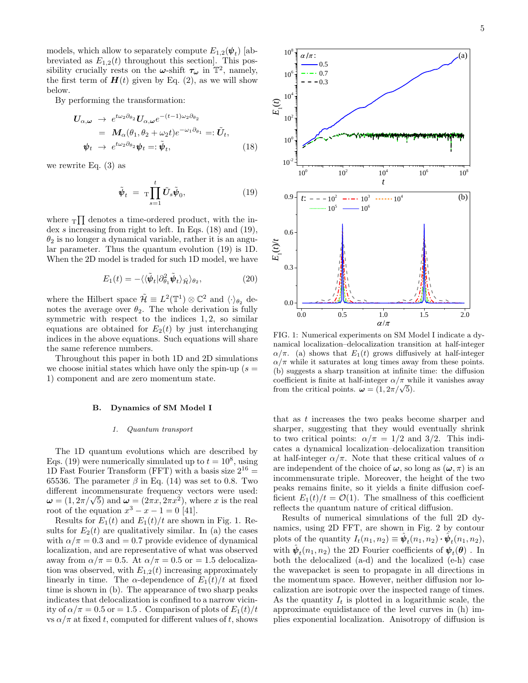models, which allow to separately compute  $E_{1,2}(\psi_t)$  [abbreviated as  $E_{1,2}(t)$  throughout this section]. This possibility crucially rests on the  $\omega$ -shift  $\tau_{\omega}$  in  $T^2$ , namely, the first term of  $H(t)$  given by Eq. (2), as we will show below.

By performing the transformation:

$$
\begin{split} \boldsymbol{U}_{\alpha,\omega} &\rightarrow e^{t\omega_{2}\partial_{\theta_{2}}} \boldsymbol{U}_{\alpha,\omega} e^{-(t-1)\omega_{2}\partial_{\theta_{2}}} \\ &= \boldsymbol{M}_{\alpha}(\theta_{1},\theta_{2}+\omega_{2}t) e^{-\omega_{1}\partial_{\theta_{1}}} =: \tilde{\boldsymbol{U}}_{t}, \\ \boldsymbol{\psi}_{t} &\rightarrow e^{t\omega_{2}\partial_{\theta_{2}}} \boldsymbol{\psi}_{t} =: \tilde{\boldsymbol{\psi}}_{t}, \end{split} \tag{18}
$$

we rewrite Eq. (3) as

$$
\tilde{\boldsymbol{\psi}}_t = \mathrm{T} \prod_{s=1}^t \tilde{U}_s \tilde{\boldsymbol{\psi}}_0, \qquad (19)
$$

where  $T_{\text{max}}$  denotes a time-ordered product, with the index s increasing from right to left. In Eqs. (18) and (19),  $\theta_2$  is no longer a dynamical variable, rather it is an angular parameter. Thus the quantum evolution (19) is 1D. When the 2D model is traded for such 1D model, we have

$$
E_1(t) = -\langle \langle \tilde{\pmb{\psi}}_t | \partial_{\theta_1}^2 \tilde{\pmb{\psi}}_t \rangle_{\tilde{\mathcal{H}}} \rangle_{\theta_2},\tag{20}
$$

where the Hilbert space  $\tilde{\mathcal{H}} \equiv L^2(\mathbb{T}^1) \otimes \mathbb{C}^2$  and  $\langle \cdot \rangle_{\theta_2}$  denotes the average over  $\theta_2$ . The whole derivation is fully symmetric with respect to the indices  $1, 2$ , so similar equations are obtained for  $E_2(t)$  by just interchanging indices in the above equations. Such equations will share the same reference numbers.

Throughout this paper in both 1D and 2D simulations we choose initial states which have only the spin-up  $(s =$ 1) component and are zero momentum state.

## B. Dynamics of SM Model I

#### 1. Quantum transport

The 1D quantum evolutions which are described by Eqs. (19) were numerically simulated up to  $t = 10^8$ , using 1D Fast Fourier Transform (FFT) with a basis size  $2^{16} =$ 65536. The parameter  $\beta$  in Eq. (14) was set to 0.8. Two different incommensurate frequency vectors were used: different incommensurate frequency vectors were used:<br>  $\omega = (1, 2\pi/\sqrt{5})$  and  $\omega = (2\pi x, 2\pi x^2)$ , where x is the real root of the equation  $x^3 - x - 1 = 0$  [41].

Results for  $E_1(t)$  and  $E_1(t)/t$  are shown in Fig. 1. Results for  $E_2(t)$  are qualitatively similar. In (a) the cases with  $\alpha/\pi = 0.3$  and  $= 0.7$  provide evidence of dynamical localization, and are representative of what was observed away from  $\alpha/\pi = 0.5$ . At  $\alpha/\pi = 0.5$  or  $= 1.5$  delocalization was observed, with  $E_{1,2}(t)$  increasing approximately linearly in time. The  $\alpha$ -dependence of  $E_1(t)/t$  at fixed time is shown in (b). The appearance of two sharp peaks indicates that delocalization is confined to a narrow vicinity of  $\alpha/\pi = 0.5$  or  $= 1.5$ . Comparison of plots of  $E_1(t)/t$  $\hat{\Psi}_t = \pi \prod_{s=1}^{1} U_s \hat{\Psi}_0$ ,  $0^q = \frac{1}{E - -10^2 - 10^2 - 10^2 - 10^2 - 10^2 - 10^2 - 10^2 - 10^2 - 10^2 - 10^2 - 10^2 - 10^2 - 10^2 - 10^2 - 10^2 - 10^2 - 10^2 - 10^2 - 10^2 - 10^2 - 10^2 - 10^2 - 10^2 - 10^2 - 10^2 - 10^2 - 10^2 - 10^2 - 10^2 - 1$ 



5



FIG. 1: Numerical experiments on SM Model I indicate a dynamical localization–delocalization transition at half-integer  $\alpha/\pi$ . (a) shows that  $E_1(t)$  grows diffusively at half-integer  $\alpha/\pi$  while it saturates at long times away from these points. (b) suggests a sharp transition at infinite time: the diffusion coefficient is finite at half-integer  $\alpha/\pi$  while it vanishes away coefficient is finite at half-integer  $\alpha/\pi$  with<br>from the critical points.  $\boldsymbol{\omega} = (1, 2\pi/\sqrt{5}).$ 

that as t increases the two peaks become sharper and sharper, suggesting that they would eventually shrink to two critical points:  $\alpha/\pi = 1/2$  and  $3/2$ . This indicates a dynamical localization–delocalization transition at half-integer  $\alpha/\pi$ . Note that these critical values of  $\alpha$ are independent of the choice of  $\omega$ , so long as  $(\omega, \pi)$  is an incommensurate triple. Moreover, the height of the two peaks remains finite, so it yields a finite diffusion coefficient  $E_1(t)/t = \mathcal{O}(1)$ . The smallness of this coefficient reflects the quantum nature of critical diffusion.

Results of numerical simulations of the full 2D dynamics, using 2D FFT, are shown in Fig. 2 by contour plots of the quantity  $I_t(n_1, n_2) \equiv \hat{\boldsymbol{\psi}}_t(n_1, n_2) \cdot \hat{\boldsymbol{\psi}}_t(n_1, n_2),$ with  $\hat{\boldsymbol{\psi}}_t(n_1,n_2)$  the 2D Fourier coefficients of  $\boldsymbol{\psi}_t(\boldsymbol{\theta})$  . In both the delocalized (a-d) and the localized (e-h) case the wavepacket is seen to propagate in all directions in the momentum space. However, neither diffusion nor localization are isotropic over the inspected range of times. As the quantity  $I_t$  is plotted in a logarithmic scale, the approximate equidistance of the level curves in (h) implies exponential localization. Anisotropy of diffusion is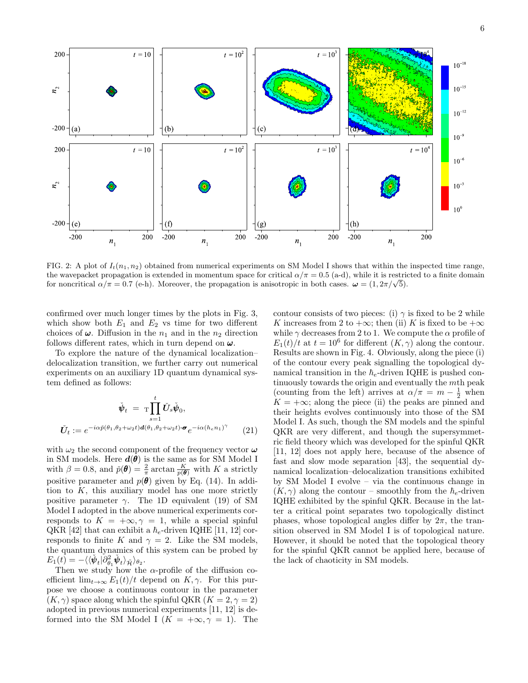

FIG. 2: A plot of  $I_t(n_1, n_2)$  obtained from numerical experiments on SM Model I shows that within the inspected time range, the wavepacket propagation is extended in momentum space for critical  $\alpha/\pi = 0.5$  (a-d), while it is restricted to a finite domain the wavepacket propagation is extended in momentum space for critical  $\alpha/\pi = 0.5$  (a-d), while it is restricted  $\alpha/\pi = 0.7$  (e-h). Moreover, the propagation is anisotropic in both cases.  $\omega = (1, 2\pi/\sqrt{5})$ .

confirmed over much longer times by the plots in Fig. 3, which show both  $E_1$  and  $E_2$  vs time for two different choices of  $\omega$ . Diffusion in the  $n_1$  and in the  $n_2$  direction follows different rates, which in turn depend on  $\omega$ .

To explore the nature of the dynamical localization– delocalization transition, we further carry out numerical experiments on an auxiliary 1D quantum dynamical system defined as follows:

$$
\check{\Psi}_t = \mathop{\mathrm{Tr}}\limits_{s=1}^t \check{U}_s \check{\Psi}_0,
$$
\n
$$
\check{U}_t := e^{-i\alpha \check{p}(\theta_1, \theta_2 + \omega_2 t) d(\theta_1, \theta_2 + \omega_2 t) \cdot \boldsymbol{\sigma}} e^{-i\alpha (h_e n_1)^\gamma}
$$
\n(21)

with  $\omega_2$  the second component of the frequency vector  $\omega$ in SM models. Here  $d(\theta)$  is the same as for SM Model I with  $\beta = 0.8$ , and  $\check{p}(\theta) = \frac{2}{\pi} \arctan \frac{K}{p(\theta)}$  with K a strictly positive parameter and  $p(\theta)$  given by Eq. (14). In addition to  $K$ , this auxiliary model has one more strictly positive parameter  $\gamma$ . The 1D equivalent (19) of SM Model I adopted in the above numerical experiments corresponds to  $K = +\infty, \gamma = 1$ , while a special spinful QKR [42] that can exhibit a  $\hbar_e$ -driven IQHE [11, 12] corresponds to finite K and  $\gamma = 2$ . Like the SM models, the quantum dynamics of this system can be probed by  $E_1(t) = -\langle\langle \check{\bm{\psi}}_t | \partial^2_{\theta_1} \check{\bm{\psi}}_t \rangle_{\tilde{\mathcal{H}}} \rangle_{\theta_2}.$ 

Then we study how the  $\alpha$ -profile of the diffusion coefficient  $\lim_{t\to\infty} E_1(t)/t$  depend on  $K, \gamma$ . For this purpose we choose a continuous contour in the parameter  $(K, \gamma)$  space along which the spinful QKR  $(K = 2, \gamma = 2)$ adopted in previous numerical experiments [11, 12] is deformed into the SM Model I  $(K = +\infty, \gamma = 1)$ . The

contour consists of two pieces: (i)  $\gamma$  is fixed to be 2 while K increases from 2 to  $+\infty$ ; then (ii) K is fixed to be  $+\infty$ while  $\gamma$  decreases from 2 to 1. We compute the  $\alpha$  profile of  $E_1(t)/t$  at  $t = 10^6$  for different  $(K, \gamma)$  along the contour. Results are shown in Fig. 4. Obviously, along the piece (i) of the contour every peak signalling the topological dynamical transition in the  $h_e$ -driven IQHE is pushed continuously towards the origin and eventually the mth peak (counting from the left) arrives at  $\alpha/\pi = m - \frac{1}{2}$  when  $K = +\infty$ ; along the piece (ii) the peaks are pinned and their heights evolves continuously into those of the SM Model I. As such, though the SM models and the spinful QKR are very different, and though the supersymmetric field theory which was developed for the spinful QKR [11, 12] does not apply here, because of the absence of fast and slow mode separation [43], the sequential dynamical localization–delocalization transitions exhibited by SM Model I evolve – via the continuous change in  $(K, \gamma)$  along the contour – smoothly from the  $\hbar_e$ -driven IQHE exhibited by the spinful QKR. Because in the latter a critical point separates two topologically distinct phases, whose topological angles differ by  $2\pi$ , the transition observed in SM Model I is of topological nature. However, it should be noted that the topological theory for the spinful QKR cannot be applied here, because of the lack of chaoticity in SM models.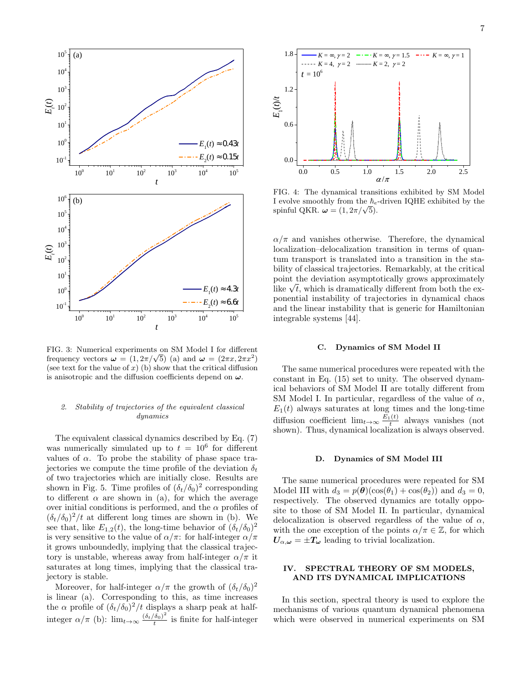

FIG. 3: Numerical experiments on SM Model I for different FIG. 3: Numerical experiments on SM Model 1 for different<br>frequency vectors  $\omega = (1, 2\pi/\sqrt{5})$  (a) and  $\omega = (2\pi x, 2\pi x^2)$ (see text for the value of  $x$ ) (b) show that the critical diffusion is anisotropic and the diffusion coefficients depend on  $\omega$ .

## 2. Stability of trajectories of the equivalent classical dynamics

The equivalent classical dynamics described by Eq. (7) was numerically simulated up to  $t = 10^6$  for different values of  $\alpha$ . To probe the stability of phase space trajectories we compute the time profile of the deviation  $\delta_t$ of two trajectories which are initially close. Results are shown in Fig. 5. Time profiles of  $(\delta_t/\delta_0)^2$  corresponding to different  $\alpha$  are shown in (a), for which the average over initial conditions is performed, and the  $\alpha$  profiles of  $(\delta_t/\delta_0)^2/t$  at different long times are shown in (b). We see that, like  $E_{1,2}(t)$ , the long-time behavior of  $(\delta_t/\delta_0)^2$ is very sensitive to the value of  $\alpha/\pi$ : for half-integer  $\alpha/\pi$ it grows unboundedly, implying that the classical trajectory is unstable, whereas away from half-integer  $\alpha/\pi$  it saturates at long times, implying that the classical trajectory is stable.

Moreover, for half-integer  $\alpha/\pi$  the growth of  $(\delta_t/\delta_0)^2$ is linear (a). Corresponding to this, as time increases the  $\alpha$  profile of  $(\delta_t/\delta_0)^2/t$  displays a sharp peak at halfinteger  $\alpha/\pi$  (b):  $\lim_{t\to\infty} \frac{(\delta_t/\delta_0)^2}{t}$ t

7



FIG. 4: The dynamical transitions exhibited by SM Model I evolve smoothly from the  $\hbar_e$ -driven IQHE exhibited by the **1** evolve smootnly from the  $n_e$ .<br>spinful QKR.  $\boldsymbol{\omega} = (1, 2\pi/\sqrt{5})$ .

16<br>
if the densitied transition and transitions are<br>half-integer of  $\mu$ . The densitial consisting is given the spin of the<br>
integer of the density of consists of the spin of the spin of the spin of the<br>
density of electr  $\alpha/\pi$  and vanishes otherwise. Therefore, the dynamical localization–delocalization transition in terms of quantum transport is translated into a transition in the stability of classical trajectories. Remarkably, at the critical point the deviation asymptotically grows approximately point the deviation asymptotically grows approximately<br>like  $\sqrt{t}$ , which is dramatically different from both the exponential instability of trajectories in dynamical chaos and the linear instability that is generic for Hamiltonian integrable systems [44].

### C. Dynamics of SM Model II

The same numerical procedures were repeated with the constant in Eq. (15) set to unity. The observed dynamical behaviors of SM Model II are totally different from SM Model I. In particular, regardless of the value of  $\alpha$ ,  $E_1(t)$  always saturates at long times and the long-time diffusion coefficient  $\lim_{t\to\infty} \frac{E_1(t)}{t}$  always vanishes (not shown). Thus, dynamical localization is always observed.

### D. Dynamics of SM Model III

The same numerical procedures were repeated for SM Model III with  $d_3 = p(\theta)(\cos(\theta_1) + \cos(\theta_2))$  and  $d_3 = 0$ , respectively. The observed dynamics are totally opposite to those of SM Model II. In particular, dynamical delocalization is observed regardless of the value of  $\alpha$ , with the one exception of the points  $\alpha/\pi \in \mathbb{Z}$ , for which  $U_{\alpha,\omega} = \pm T_{\omega}$  leading to trivial localization.

## IV. SPECTRAL THEORY OF SM MODELS, AND ITS DYNAMICAL IMPLICATIONS

In this section, spectral theory is used to explore the mechanisms of various quantum dynamical phenomena which were observed in numerical experiments on SM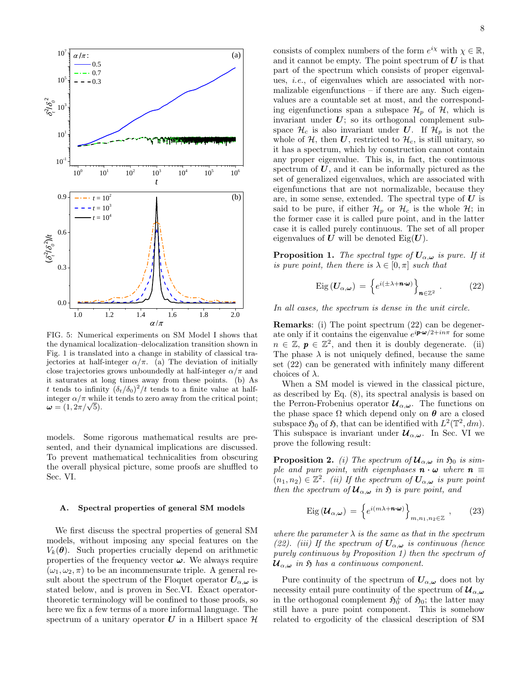

FIG. 5: Numerical experiments on SM Model I shows that the dynamical localization–delocalization transition shown in Fig. 1 is translated into a change in stability of classical trajectories at half-integer  $\alpha/\pi$ . (a) The deviation of initially close trajectories grows unboundedly at half-integer  $\alpha/\pi$  and it saturates at long times away from these points. (b) As t tends to infinity  $(\delta_t/\delta_0)^2/t$  tends to a finite value at halfinteger  $\alpha/\pi$  while it tends to zero away from the critical point; integer  $\alpha/\pi$  while<br>  $\omega = (1, 2\pi/\sqrt{5}).$ 

models. Some rigorous mathematical results are presented, and their dynamical implications are discussed. To prevent mathematical technicalities from obscuring the overall physical picture, some proofs are shuffled to Sec. VI.

## A. Spectral properties of general SM models

We first discuss the spectral properties of general SM models, without imposing any special features on the  $V_k(\boldsymbol{\theta})$ . Such properties crucially depend on arithmetic properties of the frequency vector  $\omega$ . We always require  $(\omega_1, \omega_2, \pi)$  to be an incommensurate triple. A general result about the spectrum of the Floquet operator  $U_{\alpha,\omega}$  is stated below, and is proven in Sec.VI. Exact operatortheoretic terminology will be confined to those proofs, so here we fix a few terms of a more informal language. The spectrum of a unitary operator U in a Hilbert space  $\mathcal H$ 

consists of complex numbers of the form  $e^{ix}$  with  $\chi \in \mathbb{R}$ , and it cannot be empty. The point spectrum of  $U$  is that part of the spectrum which consists of proper eigenvalues, i.e., of eigenvalues which are associated with normalizable eigenfunctions – if there are any. Such eigenvalues are a countable set at most, and the corresponding eigenfunctions span a subspace  $\mathcal{H}_n$  of  $\mathcal{H}$ , which is invariant under  $U$ ; so its orthogonal complement subspace  $\mathcal{H}_c$  is also invariant under U. If  $\mathcal{H}_p$  is not the whole of  $H$ , then  $U$ , restricted to  $H_c$ , is still unitary, so it has a spectrum, which by construction cannot contain any proper eigenvalue. This is, in fact, the continuous spectrum of  $U$ , and it can be informally pictured as the set of generalized eigenvalues, which are associated with eigenfunctions that are not normalizable, because they are, in some sense, extended. The spectral type of  $U$  is said to be pure, if either  $\mathcal{H}_p$  or  $\mathcal{H}_c$  is the whole  $\mathcal{H}$ ; in the former case it is called pure point, and in the latter case it is called purely continuous. The set of all proper eigenvalues of U will be denoted  $Eig(U)$ .

**Proposition 1.** The spectral type of  $U_{\alpha,\omega}$  is pure. If it is pure point, then there is  $\lambda \in [0, \pi]$  such that

$$
Eig\left(\boldsymbol{U}_{\alpha,\boldsymbol{\omega}}\right) = \left\{ e^{i\left(\pm\lambda + \boldsymbol{n}\cdot\boldsymbol{\omega}\right)} \right\}_{\boldsymbol{n}\in\mathbb{Z}^2} \tag{22}
$$

In all cases, the spectrum is dense in the unit circle.

Remarks: (i) The point spectrum (22) can be degenerate only if it contains the eigenvalue  $e^{i\boldsymbol{p}\cdot\boldsymbol{\omega}/2 + in\pi}$  for some  $n \in \mathbb{Z}, p \in \mathbb{Z}^2$ , and then it is doubly degenerate. (ii) The phase  $\lambda$  is not uniquely defined, because the same set (22) can be generated with infinitely many different choices of  $\lambda$ .

When a SM model is viewed in the classical picture, as described by Eq. (8), its spectral analysis is based on the Perron-Frobenius operator  $u_{\alpha,\omega}$ . The functions on the phase space  $\Omega$  which depend only on  $\theta$  are a closed subspace  $\mathfrak{H}_0$  of  $\mathfrak{H}$ , that can be identified with  $L^2(\mathbb{T}^2, dm)$ . This subspace is invariant under  $\mathcal{U}_{\alpha,\omega}$ . In Sec. VI we prove the following result:

**Proposition 2.** (i) The spectrum of  $\mathcal{U}_{\alpha,\omega}$  in  $\mathfrak{H}_0$  is simple and pure point, with eigenphases  $\mathbf{n} \cdot \boldsymbol{\omega}$  where  $\mathbf{n} \equiv$  $(n_1, n_2) \in \mathbb{Z}^2$ . (ii) If the spectrum of  $U_{\alpha,\omega}$  is pure point then the spectrum of  $u_{\alpha,\omega}$  in  $\mathfrak{H}$  is pure point, and

$$
\text{Eig}\left(\mathcal{U}_{\alpha,\omega}\right) = \left\{e^{i(m\lambda + \boldsymbol{n}\cdot\omega)}\right\}_{m,n_1,n_2\in\mathbb{Z}},\qquad(23)
$$

where the parameter  $\lambda$  is the same as that in the spectrum (22). (iii) If the spectrum of  $U_{\alpha,\omega}$  is continuous (hence purely continuous by Proposition 1) then the spectrum of  $u_{\alpha,\omega}$  in  $\mathfrak H$  has a continuous component.

Pure continuity of the spectrum of  $U_{\alpha,\omega}$  does not by necessity entail pure continuity of the spectrum of  $\mathcal{U}_{\alpha,\omega}$ in the orthogonal complement  $\mathfrak{H}_0^{\perp}$  of  $\mathfrak{H}_0$ ; the latter may still have a pure point component. This is somehow related to ergodicity of the classical description of SM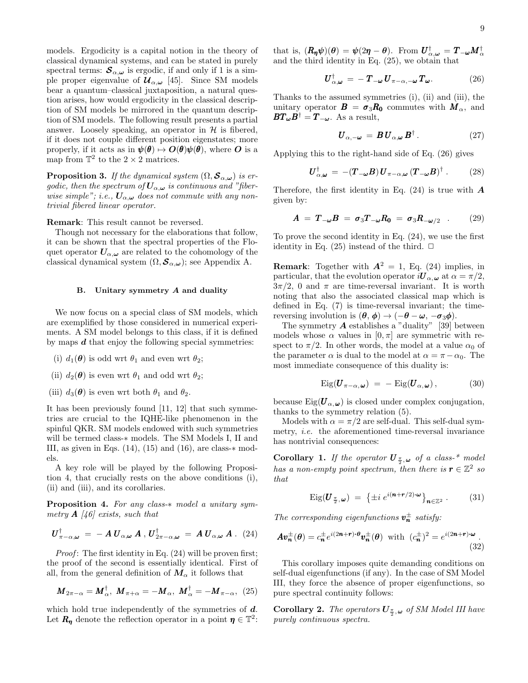models. Ergodicity is a capital notion in the theory of classical dynamical systems, and can be stated in purely spectral terms:  $S_{\alpha,\omega}$  is ergodic, if and only if 1 is a simple proper eigenvalue of  $\mathcal{U}_{\alpha,\omega}$  [45]. Since SM models bear a quantum–classical juxtaposition, a natural question arises, how would ergodicity in the classical description of SM models be mirrored in the quantum description of SM models. The following result presents a partial answer. Loosely speaking, an operator in  $H$  is fibered, if it does not couple different position eigenstates; more properly, if it acts as in  $\psi(\theta) \mapsto O(\theta)\psi(\theta)$ , where O is a map from  $\mathbb{T}^2$  to the  $2 \times 2$  matrices.

**Proposition 3.** If the dynamical system  $(\Omega, \mathcal{S}_{\alpha,\omega})$  is ergodic, then the spectrum of  $U_{\alpha,\omega}$  is continuous and "fiberwise simple"; i.e.,  $U_{\alpha,\omega}$  does not commute with any nontrivial fibered linear operator.

Remark: This result cannot be reversed.

Though not necessary for the elaborations that follow, it can be shown that the spectral properties of the Floquet operator  $U_{\alpha,\omega}$  are related to the cohomology of the classical dynamical system  $(\Omega, \mathcal{S}_{\alpha,\omega})$ ; see Appendix A.

## B. Unitary symmetry A and duality

We now focus on a special class of SM models, which are exemplified by those considered in numerical experiments. A SM model belongs to this class, if it is defined by maps  $d$  that enjoy the following special symmetries:

- (i)  $d_1(\boldsymbol{\theta})$  is odd wrt  $\theta_1$  and even wrt  $\theta_2$ ;
- (ii)  $d_2(\boldsymbol{\theta})$  is even wrt  $\theta_1$  and odd wrt  $\theta_2$ ;
- (iii)  $d_3(\boldsymbol{\theta})$  is even wrt both  $\theta_1$  and  $\theta_2$ .

It has been previously found [11, 12] that such symmetries are crucial to the IQHE-like phenomenon in the spinful QKR. SM models endowed with such symmetries will be termed class-∗ models. The SM Models I, II and III, as given in Eqs.  $(14)$ ,  $(15)$  and  $(16)$ , are class- $*$  models.

A key role will be played by the following Proposition 4, that crucially rests on the above conditions (i), (ii) and (iii), and its corollaries.

Proposition 4. For any class-∗ model a unitary symmetry  $\bf{A}$  [46] exists, such that

$$
\boldsymbol{U}_{\pi-\alpha,\boldsymbol{\omega}}^{\dagger} = -\boldsymbol{A} \, \boldsymbol{U}_{\alpha,\boldsymbol{\omega}} \, \boldsymbol{A} \, , \, \boldsymbol{U}_{2\pi-\alpha,\boldsymbol{\omega}}^{\dagger} = \boldsymbol{A} \, \boldsymbol{U}_{\alpha,\boldsymbol{\omega}} \, \boldsymbol{A} \, . \tag{24}
$$

*Proof*: The first identity in Eq.  $(24)$  will be proven first; the proof of the second is essentially identical. First of all, from the general definition of  $M_{\alpha}$  it follows that

$$
\boldsymbol{M}_{2\pi-\alpha} = \boldsymbol{M}_{\alpha}^{\dagger}, \ \boldsymbol{M}_{\pi+\alpha} = -\boldsymbol{M}_{\alpha}, \ \boldsymbol{M}_{\alpha}^{\dagger} = -\boldsymbol{M}_{\pi-\alpha}, \ \ (25)
$$

which hold true independently of the symmetries of  $d$ . Let  $R_{\eta}$  denote the reflection operator in a point  $\eta \in \mathbb{T}^2$ :

that is,  $(R_{\eta}\psi)(\theta) = \psi(2\eta - \theta)$ . From  $U^{\dagger}_{\alpha,\omega} = T_{-\omega}M^{\dagger}_{\alpha}$ and the third identity in Eq. (25), we obtain that

$$
\boldsymbol{U}_{\alpha,\boldsymbol{\omega}}^{\dagger} = -\boldsymbol{T}_{-\boldsymbol{\omega}}\boldsymbol{U}_{\pi-\alpha,-\boldsymbol{\omega}}\boldsymbol{T}_{\boldsymbol{\omega}}.\tag{26}
$$

Thanks to the assumed symmetries (i), (ii) and (iii), the unitary operator  $\mathbf{B} = \sigma_3 \mathbf{R_0}$  commutes with  $\mathbf{M}_{\alpha}$ , and  $BT_{\omega}B^{\dagger} = T_{-\omega}$ . As a result,

$$
\boldsymbol{U}_{\alpha,-\boldsymbol{\omega}} = \boldsymbol{B} \boldsymbol{U}_{\alpha,\boldsymbol{\omega}} \boldsymbol{B}^{\dagger} \,. \tag{27}
$$

Applying this to the right-hand side of Eq. (26) gives

$$
\boldsymbol{U}_{\alpha,\boldsymbol{\omega}}^{\dagger} = -(\boldsymbol{T}_{-\boldsymbol{\omega}}\boldsymbol{B})\boldsymbol{U}_{\pi-\alpha,\boldsymbol{\omega}}(\boldsymbol{T}_{-\boldsymbol{\omega}}\boldsymbol{B})^{\dagger}.
$$
 (28)

Therefore, the first identity in Eq.  $(24)$  is true with  $\boldsymbol{A}$ given by:

$$
A = T_{-\omega}B = \sigma_3 T_{-\omega} R_0 = \sigma_3 R_{-\omega/2} \quad . \tag{29}
$$

To prove the second identity in Eq. (24), we use the first identity in Eq.  $(25)$  instead of the third.  $\Box$ 

**Remark:** Together with  $A^2 = 1$ , Eq. (24) implies, in particular, that the evolution operator  $iU_{\alpha,\omega}$  at  $\alpha = \pi/2$ ,  $3\pi/2$ , 0 and  $\pi$  are time-reversal invariant. It is worth noting that also the associated classical map which is defined in Eq. (7) is time-reversal invariant; the timereversing involution is  $(\theta, \phi) \rightarrow (-\theta - \omega, -\sigma_3 \phi)$ .

The symmetry  $\boldsymbol{A}$  establishes a "duality" [39] between models whose  $\alpha$  values in  $[0, \pi]$  are symmetric with respect to  $\pi/2$ . In other words, the model at a value  $\alpha_0$  of the parameter  $\alpha$  is dual to the model at  $\alpha = \pi - \alpha_0$ . The most immediate consequence of this duality is:

$$
Eig(\boldsymbol{U}_{\pi-\alpha,\,\boldsymbol{\omega}}) = -Eig(\boldsymbol{U}_{\alpha,\,\boldsymbol{\omega}}),\tag{30}
$$

because  $\text{Eig}(\boldsymbol{U}_{\alpha,\omega})$  is closed under complex conjugation, thanks to the symmetry relation (5).

Models with  $\alpha = \pi/2$  are self-dual. This self-dual symmetry, i.e. the aforementioned time-reversal invariance has nontrivial consequences:

**Corollary 1.** If the operator  $\boldsymbol{U}_{\frac{\pi}{2}, \boldsymbol{\omega}}$  of a class-\* model has a non-empty point spectrum, then there is  $\mathbf{r} \in \mathbb{Z}^2$  so that

$$
\text{Eig}(\boldsymbol{U}_{\frac{\pi}{2},\boldsymbol{\omega}}) = \left\{ \pm i \; e^{i(\boldsymbol{n}+\boldsymbol{r}/2)\cdot \boldsymbol{\omega}} \right\}_{\boldsymbol{n}\in\mathbb{Z}^2} . \tag{31}
$$

The corresponding eigenfunctions  $v_n^{\pm}$  satisfy:

$$
A v_n^{\pm}(\theta) = c_n^{\pm} e^{i(2n+r)\cdot\theta} v_n^{\pm}(\theta) \text{ with } (c_n^{\pm})^2 = e^{i(2n+r)\cdot\omega}.
$$
\n(32)

This corollary imposes quite demanding conditions on self-dual eigenfunctions (if any). In the case of SM Model III, they force the absence of proper eigenfunctions, so pure spectral continuity follows:

**Corollary 2.** The operators  $U_{\frac{\pi}{2},\omega}$  of SM Model III have purely continuous spectra.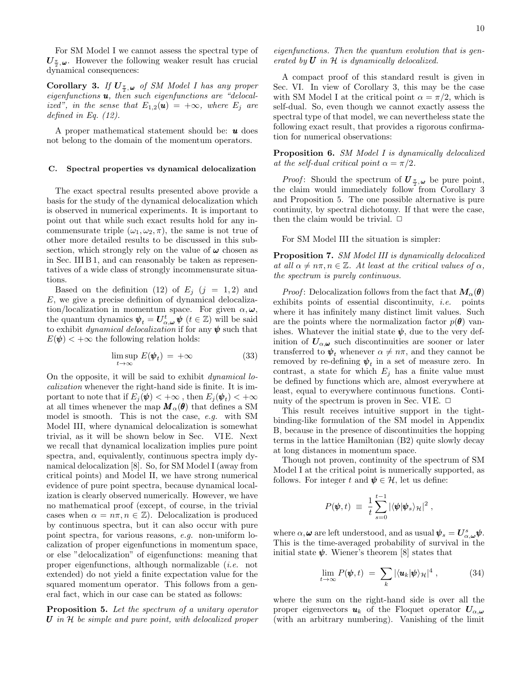For SM Model I we cannot assess the spectral type of  $U_{\frac{\pi}{2},\omega}$ . However the following weaker result has crucial dynamical consequences:

**Corollary 3.** If  $U_{\frac{\pi}{2},\omega}$  of SM Model I has any proper eigenfunctions  $\boldsymbol{u}$ , then such eigenfunctions are "delocalized", in the sense that  $E_{1,2}(u) = +\infty$ , where  $E_i$  are defined in Eq. (12).

A proper mathematical statement should be:  $\boldsymbol{u}$  does not belong to the domain of the momentum operators.

## C. Spectral properties vs dynamical delocalization

The exact spectral results presented above provide a basis for the study of the dynamical delocalization which is observed in numerical experiments. It is important to point out that while such exact results hold for any incommensurate triple  $(\omega_1, \omega_2, \pi)$ , the same is not true of other more detailed results to be discussed in this subsection, which strongly rely on the value of  $\omega$  chosen as in Sec. III B 1, and can reasonably be taken as representatives of a wide class of strongly incommensurate situations.

Based on the definition (12) of  $E_j$  (j = 1,2) and E, we give a precise definition of dynamical delocalization/localization in momentum space. For given  $\alpha, \omega$ , the quantum dynamics  $\psi_t = U_{\alpha,\omega}^t \psi$   $(t \in \mathbb{Z})$  will be said to exhibit *dynamical delocalization* if for any  $\psi$  such that  $E(\psi)$  <  $+\infty$  the following relation holds:

$$
\limsup_{t \to \infty} E(\boldsymbol{\psi}_t) = +\infty \tag{33}
$$

On the opposite, it will be said to exhibit dynamical localization whenever the right-hand side is finite. It is important to note that if  $E_j(\pmb{\psi}) < +\infty$  , then  $E_j(\pmb{\psi}_t) < +\infty$ at all times whenever the map  $M_{\alpha}(\theta)$  that defines a SM model is smooth. This is not the case, e.g. with SM Model III, where dynamical delocalization is somewhat trivial, as it will be shown below in Sec. VI E. Next we recall that dynamical localization implies pure point spectra, and, equivalently, continuous spectra imply dynamical delocalization [8]. So, for SM Model I (away from critical points) and Model II, we have strong numerical evidence of pure point spectra, because dynamical localization is clearly observed numerically. However, we have no mathematical proof (except, of course, in the trivial cases when  $\alpha = n\pi, n \in \mathbb{Z}$ . Delocalization is produced by continuous spectra, but it can also occur with pure point spectra, for various reasons, e.g. non-uniform localization of proper eigenfunctions in momentum space, or else "delocalization" of eigenfunctions: meaning that proper eigenfunctions, although normalizable (i.e. not extended) do not yield a finite expectation value for the squared momentum operator. This follows from a general fact, which in our case can be stated as follows:

Proposition 5. Let the spectrum of a unitary operator  $U$  in  $H$  be simple and pure point, with delocalized proper

A compact proof of this standard result is given in Sec. VI. In view of Corollary 3, this may be the case with SM Model I at the critical point  $\alpha = \pi/2$ , which is self-dual. So, even though we cannot exactly assess the spectral type of that model, we can nevertheless state the following exact result, that provides a rigorous confirmation for numerical observations:

Proposition 6. SM Model I is dynamically delocalized at the self-dual critical point  $\alpha = \pi/2$ .

*Proof:* Should the spectrum of  $\mathbf{U}_{\frac{\pi}{2},\omega}$  be pure point, the claim would immediately follow from Corollary 3 and Proposition 5. The one possible alternative is pure continuity, by spectral dichotomy. If that were the case, then the claim would be trivial.  $\square$ 

For SM Model III the situation is simpler:

Proposition 7. SM Model III is dynamically delocalized at all  $\alpha \neq n\pi, n \in \mathbb{Z}$ . At least at the critical values of  $\alpha$ , the spectrum is purely continuous.

*Proof*: Delocalization follows from the fact that  $M_{\alpha}(\theta)$ exhibits points of essential discontinuity, i.e. points where it has infinitely many distinct limit values. Such are the points where the normalization factor  $p(\theta)$  vanishes. Whatever the initial state  $\psi$ , due to the very definition of  $U_{\alpha,\omega}$  such discontinuities are sooner or later transferred to  $\psi_t$  whenever  $\alpha \neq n\pi$ , and they cannot be removed by re-defining  $\psi_t$  in a set of measure zero. In contrast, a state for which  $E_i$  has a finite value must be defined by functions which are, almost everywhere at least, equal to everywhere continuous functions. Continuity of the spectrum is proven in Sec. VIE.  $\Box$ 

This result receives intuitive support in the tightbinding-like formulation of the SM model in Appendix B, because in the presence of discontinuities the hopping terms in the lattice Hamiltonian (B2) quite slowly decay at long distances in momentum space.

Though not proven, continuity of the spectrum of SM Model I at the critical point is numerically supported, as follows. For integer t and  $\psi \in \mathcal{H}$ , let us define:

$$
P(\pmb{\psi},t) \; \equiv \; \frac{1}{t} \sum_{s=0}^{t-1} |\langle \pmb{\psi} | \pmb{\psi}_s \rangle_{\mathcal{H}}|^2 \; ,
$$

where  $\alpha, \omega$  are left understood, and as usual  $\psi_s = U^s_{\alpha, \omega} \psi$ . This is the time-averaged probability of survival in the initial state  $\psi$ . Wiener's theorem [8] states that

$$
\lim_{t \to \infty} P(\pmb{\psi}, t) \ = \ \sum_{k} |\langle \pmb{u}_k | \pmb{\psi} \rangle_{\mathcal{H}}|^4 \ , \tag{34}
$$

where the sum on the right-hand side is over all the proper eigenvectors  $u_k$  of the Floquet operator  $U_{\alpha,\omega}$ (with an arbitrary numbering). Vanishing of the limit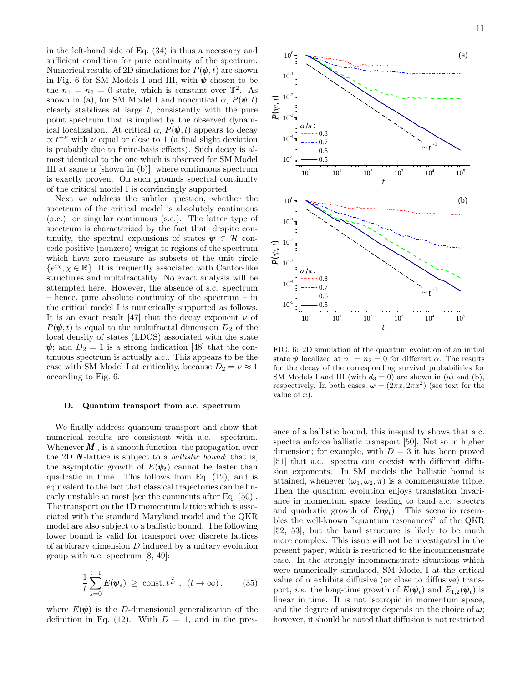in the left-hand side of Eq. (34) is thus a necessary and sufficient condition for pure continuity of the spectrum. Numerical results of 2D simulations for  $P(\psi, t)$  are shown in Fig. 6 for SM Models I and III, with  $\psi$  chosen to be the  $n_1 = n_2 = 0$  state, which is constant over  $\mathbb{T}^2$ . As shown in (a), for SM Model I and noncritical  $\alpha$ ,  $P(\psi, t)$ clearly stabilizes at large  $t$ , consistently with the pure point spectrum that is implied by the observed dynamical localization. At critical  $\alpha$ ,  $P(\psi, t)$  appears to decay  $\propto t^{-\nu}$  with  $\nu$  equal or close to 1 (a final slight deviation is probably due to finite-basis effects). Such decay is almost identical to the one which is observed for SM Model III at same  $\alpha$  [shown in (b)], where continuous spectrum is exactly proven. On such grounds spectral continuity of the critical model I is convincingly supported.

Next we address the subtler question, whether the spectrum of the critical model is absolutely continuous (a.c.) or singular continuous (s.c.). The latter type of spectrum is characterized by the fact that, despite continuity, the spectral expansions of states  $\psi \in \mathcal{H}$  concede positive (nonzero) weight to regions of the spectrum which have zero measure as subsets of the unit circle  ${e^{ix}, \chi \in \mathbb{R}}$ . It is frequently associated with Cantor-like structures and multifractality. No exact analysis will be attempted here. However, the absence of s.c. spectrum – hence, pure absolute continuity of the spectrum – in the critical model I is numerically supported as follows. It is an exact result [47] that the decay exponent  $\nu$  of  $P(\psi, t)$  is equal to the multifractal dimension  $D_2$  of the local density of states (LDOS) associated with the state  $\psi$ ; and  $D_2 = 1$  is a strong indication [48] that the continuous spectrum is actually a.c.. This appears to be the case with SM Model I at criticality, because  $D_2 = \nu \approx 1$ according to Fig. 6. means an<br>emperator of the conventional spectral continuity if<br>a consider proper of the carb grounds apectral continuity<br>of the critical measurement of the critical measurement of the consider of the state of the preservat

### D. Quantum transport from a.c. spectrum

We finally address quantum transport and show that numerical results are consistent with a.c. spectrum. Whenever  $\mathbf{M}_{\alpha}$  is a smooth function, the propagation over the 2D  $\mathbf{N}\text{-lattice}$  is subject to a *ballistic bound*; that is, the asymptotic growth of  $E(\psi_t)$  cannot be faster than quadratic in time. This follows from Eq. (12), and is equivalent to the fact that classical trajectories can be linearly unstable at most [see the comments after Eq. (50)]. The transport on the 1D momentum lattice which is associated with the standard Maryland model and the QKR model are also subject to a ballistic bound. The following lower bound is valid for transport over discrete lattices of arbitrary dimension  $D$  induced by a unitary evolution group with a.c. spectrum [8, 49]:

$$
\frac{1}{t}\sum_{s=0}^{t-1} E(\pmb{\psi}_s) \ge \text{const.} \, t^{\frac{2}{D}}, \ (t \to \infty). \tag{35}
$$

where  $E(\psi)$  is the D-dimensional generalization of the



FIG. 6: 2D simulation of the quantum evolution of an initial state  $\psi$  localized at  $n_1 = n_2 = 0$  for different  $\alpha$ . The results for the decay of the corresponding survival probabilities for SM Models I and III (with  $d_3 = 0$ ) are shown in (a) and (b), respectively. In both cases,  $\omega = (2\pi x, 2\pi x^2)$  (see text for the value of  $x$ ).

ence of a ballistic bound, this inequality shows that a.c. spectra enforce ballistic transport [50]. Not so in higher dimension; for example, with  $D = 3$  it has been proved [51] that a.c. spectra can coexist with different diffusion exponents. In SM models the ballistic bound is attained, whenever  $(\omega_1, \omega_2, \pi)$  is a commensurate triple. Then the quantum evolution enjoys translation invariance in momentum space, leading to band a.c. spectra and quadratic growth of  $E(\psi_t)$ . This scenario resembles the well-known "quantum resonances" of the QKR [52, 53], but the band structure is likely to be much more complex. This issue will not be investigated in the present paper, which is restricted to the incommensurate case. In the strongly incommensurate situations which were numerically simulated, SM Model I at the critical value of  $\alpha$  exhibits diffusive (or close to diffusive) transport, *i.e.* the long-time growth of  $E(\psi_t)$  and  $E_{1,2}(\psi_t)$  is linear in time. It is not isotropic in momentum space, and the degree of anisotropy depends on the choice of  $\omega$ ; however, it should be noted that diffusion is not restricted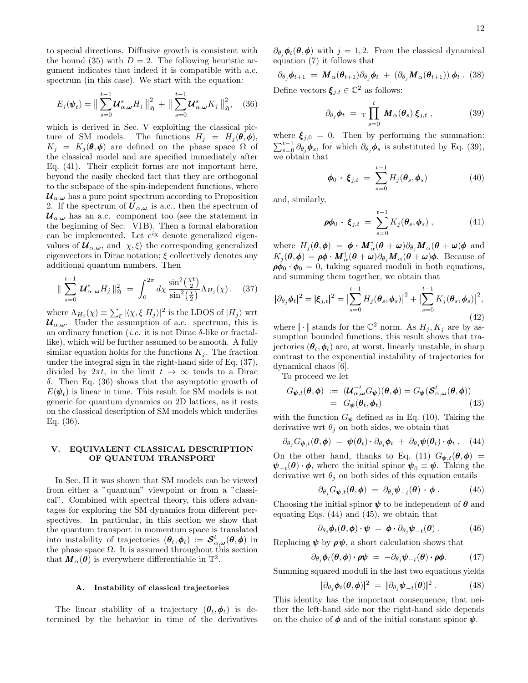to special directions. Diffusive growth is consistent with the bound (35) with  $D = 2$ . The following heuristic argument indicates that indeed it is compatible with a.c. spectrum (in this case). We start with the equation:

$$
E_j(\boldsymbol{\psi}_t) = \big\| \sum_{s=0}^{t-1} \boldsymbol{\mathcal{U}}_{\alpha,\boldsymbol{\omega}}^s H_j \big\|_{\mathfrak{H}}^2 + \big\| \sum_{s=0}^{t-1} \boldsymbol{\mathcal{U}}_{\alpha,\boldsymbol{\omega}}^s K_j \big\|_{\mathfrak{H}}^2, \quad (36)
$$

which is derived in Sec. V exploiting the classical picture of SM models. The functions  $H_j = H_j(\theta, \phi)$ ,  $K_i = K_i(\theta, \phi)$  are defined on the phase space  $\Omega$  of the classical model and are specified immediately after Eq. (41). Their explicit forms are not important here, beyond the easily checked fact that they are orthogonal to the subspace of the spin-independent functions, where  $u_{\alpha,\omega}$  has a pure point spectrum according to Proposition 2. If the spectrum of  $\boldsymbol{U}_{\alpha,\omega}$  is a.c., then the spectrum of  $u_{\alpha,\omega}$  has an a.c. component too (see the statement in the beginning of Sec. VI B). Then a formal elaboration can be implemented. Let  $e^{i\chi}$  denote generalized eigenvalues of  $\mathcal{U}_{\alpha,\omega}$ , and  $|\chi,\xi\rangle$  the corresponding generalized eigenvectors in Dirac notation;  $\xi$  collectively denotes any additional quantum numbers. Then

$$
\|\sum_{s=0}^{t-1} \mathbf{U}_{\alpha,\omega}^s H_j\|_{\mathfrak{H}}^2 = \int_0^{2\pi} d\chi \, \frac{\sin^2(\frac{\chi t}{2})}{\sin^2(\frac{\chi}{2})} \Lambda_{H_j}(\chi). \tag{37}
$$

where  $\Lambda_{H_j}(\chi) \equiv \sum_{\xi} |\langle \chi, \xi | H_j \rangle|^2$  is the LDOS of  $|H_j\rangle$  wrt  $u_{\alpha,\omega}$ . Under the assumption of a.c. spectrum, this is an ordinary function (*i.e.* it is not Dirac  $\delta$ -like or fractallike), which will be further assumed to be smooth. A fully similar equation holds for the functions  $K_i$ . The fraction under the integral sign in the right-hand side of Eq. (37), divided by  $2\pi t$ , in the limit  $t \to \infty$  tends to a Dirac δ. Then Eq. (36) shows that the asymptotic growth of  $E(\psi_t)$  is linear in time. This result for SM models is not generic for quantum dynamics on 2D lattices, as it rests on the classical description of SM models which underlies Eq. (36).

## V. EQUIVALENT CLASSICAL DESCRIPTION OF QUANTUM TRANSPORT

In Sec. II it was shown that SM models can be viewed from either a "quantum" viewpoint or from a "classical". Combined with spectral theory, this offers advantages for exploring the SM dynamics from different perspectives. In particular, in this section we show that the quantum transport in momentum space is translated into instability of trajectories  $(\theta_t, \phi_t) := \mathcal{S}^t_{\alpha, \omega}(\theta, \phi)$  in the phase space  $\Omega$ . It is assumed throughout this section that  $M_{\alpha}(\theta)$  is everywhere differentiable in  $\mathbb{T}^2$ .

## A. Instability of classical trajectories

The linear stability of a trajectory  $(\theta_t, \phi_t)$  is determined by the behavior in time of the derivatives  $\partial_{\theta_i} \phi_t(\theta, \phi)$  with  $j = 1, 2$ . From the classical dynamical equation (7) it follows that

$$
\partial_{\theta_j} \phi_{t+1} = \mathbf{M}_{\alpha}(\theta_{t+1}) \partial_{\theta_j} \phi_t + (\partial_{\theta_j} \mathbf{M}_{\alpha}(\theta_{t+1})) \phi_t.
$$
 (38)

Define vectors  $\xi_{j,t} \in \mathbb{C}^2$  as follows:

$$
\partial_{\theta_j} \phi_t = \mathrm{T} \prod_{s=0}^t M_\alpha(\theta_s) \, \xi_{j,t} \,, \tag{39}
$$

where  $\xi_{j,0} = 0$ . Then by performing the summation:  $\sum_{s=0}^{t-1} \partial_{\theta_j} \phi_s$ , for which  $\partial_{\theta_j} \phi_s$  is substituted by Eq. (39), we obtain that

$$
\boldsymbol{\phi}_0 \cdot \boldsymbol{\xi}_{j,t} = \sum_{s=0}^{t-1} H_j(\boldsymbol{\theta}_s, \boldsymbol{\phi}_s)
$$
(40)

and, similarly,

$$
\boldsymbol{\rho} \boldsymbol{\phi}_0 \cdot \boldsymbol{\xi}_{j,t} \ = \ \sum_{s=0}^{t-1} K_j(\boldsymbol{\theta}_s, \boldsymbol{\phi}_s) \ , \tag{41}
$$

where  $H_j(\bm{\theta},\bm{\phi})~=~\bm{\phi}\bm{\cdot} \bm{M}_{\alpha}^{\dagger}(\bm{\theta}+\bm{\omega})\partial_{\theta_j}\bm{M}_{\alpha}(\bm{\theta}+\bm{\omega})\bm{\phi}$  and  $K_j(\theta, \phi) = \rho \phi \cdot \mathbf{M}_{\alpha}^{\dagger}(\theta + \omega) \partial_{\theta_j} \mathbf{M}_{\alpha}(\theta + \omega) \phi$ . Because of  $\rho \phi_0 \cdot \phi_0 = 0$ , taking squared moduli in both equations, and summing them together, we obtain that

$$
|\partial_{\theta_j} \phi_t|^2 = |\xi_{j,t}|^2 = \left| \sum_{s=0}^{t-1} H_j(\theta_s, \phi_s) \right|^2 + \left| \sum_{s=0}^{t-1} K_j(\theta_s, \phi_s) \right|^2, \tag{42}
$$

where  $|\cdot|$  stands for the  $\mathbb{C}^2$  norm. As  $H_j, K_j$  are by assumption bounded functions, this result shows that trajectories  $(\theta_t, \phi_t)$  are, at worst, linearly unstable, in sharp contrast to the exponential instability of trajectories for dynamical chaos [6].

To proceed we let

$$
G_{\boldsymbol{\psi},t}(\boldsymbol{\theta},\boldsymbol{\phi}) := (\boldsymbol{\mathcal{U}}_{\alpha,\boldsymbol{\omega}}^{-t} G_{\boldsymbol{\psi}})(\boldsymbol{\theta},\boldsymbol{\phi}) = G_{\boldsymbol{\psi}}(\boldsymbol{\mathcal{S}}_{\alpha,\boldsymbol{\omega}}^{t}(\boldsymbol{\theta},\boldsymbol{\phi}))
$$
  
=  $G_{\boldsymbol{\psi}}(\boldsymbol{\theta}_t,\boldsymbol{\phi}_t)$  (43)

with the function  $G_{\psi}$  defined as in Eq. (10). Taking the derivative wrt  $\theta_i$  on both sides, we obtain that

$$
\partial_{\theta_j} G_{\boldsymbol{\psi},t}(\boldsymbol{\theta},\boldsymbol{\phi}) = \boldsymbol{\psi}(\boldsymbol{\theta}_t) \cdot \partial_{\theta_j} \boldsymbol{\phi}_t + \partial_{\theta_j} \boldsymbol{\psi}(\boldsymbol{\theta}_t) \cdot \boldsymbol{\phi}_t. \quad (44)
$$

On the other hand, thanks to Eq. (11)  $G_{\psi,t}(\theta,\phi)$  =  $\psi_{-t}(\theta) \cdot \phi$ , where the initial spinor  $\psi_0 \equiv \psi$ . Taking the derivative wrt  $\theta_i$  on both sides of this equation entails

$$
\partial_{\theta_j} G_{\boldsymbol{\psi},t}(\boldsymbol{\theta},\boldsymbol{\phi}) = \partial_{\theta_j} \boldsymbol{\psi}_{-t}(\boldsymbol{\theta}) \cdot \boldsymbol{\phi} . \qquad (45)
$$

Choosing the initial spinor  $\psi$  to be independent of  $\theta$  and equating Eqs. (44) and (45), we obtain that

$$
\partial_{\theta_j} \phi_t(\boldsymbol{\theta}, \boldsymbol{\phi}) \cdot \boldsymbol{\psi} = \boldsymbol{\phi} \cdot \partial_{\theta_j} \boldsymbol{\psi}_{-t}(\boldsymbol{\theta}) . \qquad (46)
$$

Replacing  $\psi$  by  $\rho \psi$ , a short calculation shows that

$$
\partial_{\theta_j} \phi_t(\boldsymbol{\theta}, \boldsymbol{\phi}) \cdot \boldsymbol{\rho} \boldsymbol{\psi} = -\partial_{\theta_j} \boldsymbol{\psi}_{-t}(\boldsymbol{\theta}) \cdot \boldsymbol{\rho} \boldsymbol{\phi}. \qquad (47)
$$

Summing squared moduli in the last two equations yields

$$
|\partial_{\theta_j} \phi_t(\boldsymbol{\theta}, \boldsymbol{\phi})|^2 = |\partial_{\theta_j} \boldsymbol{\psi}_{-t}(\boldsymbol{\theta})|^2. \qquad (48)
$$

This identity has the important consequence, that neither the left-hand side nor the right-hand side depends on the choice of  $\phi$  and of the initial constant spinor  $\psi$ .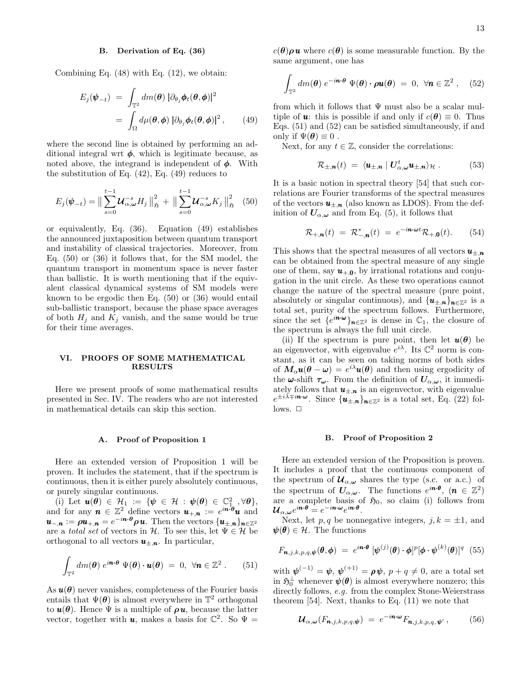## B. Derivation of Eq. (36)

Combining Eq. (48) with Eq. (12), we obtain:

$$
E_j(\boldsymbol{\psi}_{-t}) = \int_{\mathbb{T}^2} dm(\boldsymbol{\theta}) \, |\partial_{\theta_j} \boldsymbol{\phi}_t(\boldsymbol{\theta}, \boldsymbol{\phi})|^2
$$
  
= 
$$
\int_{\Omega} d\mu(\boldsymbol{\theta}, \boldsymbol{\phi}) \, |\partial_{\theta_j} \boldsymbol{\phi}_t(\boldsymbol{\theta}, \boldsymbol{\phi})|^2, \qquad (49)
$$

where the second line is obtained by performing an additional integral wrt  $\phi$ , which is legitimate because, as noted above, the integrand is independent of  $\phi$ . With the substitution of Eq. (42), Eq. (49) reduces to

$$
E_j(\boldsymbol{\psi}_{-t}) = \big\| \sum_{s=0}^{t-1} \boldsymbol{\mathcal{U}}_{\alpha,\boldsymbol{\omega}}^{-s} H_j \big\|_{\mathfrak{H}}^2 + \big\| \sum_{s=0}^{t-1} \boldsymbol{\mathcal{U}}_{\alpha,\boldsymbol{\omega}}^{-s} K_j \big\|_{\mathfrak{H}}^2 \tag{50}
$$

or equivalently, Eq. (36). Equation (49) establishes the announced juxtaposition between quantum transport and instability of classical trajectories. Moreover, from Eq. (50) or (36) it follows that, for the SM model, the quantum transport in momentum space is never faster than ballistic. It is worth mentioning that if the equivalent classical dynamical systems of SM models were known to be ergodic then Eq. (50) or (36) would entail sub-ballistic transport, because the phase space averages of both  $H_i$  and  $K_j$  vanish, and the same would be true for their time averages.

## VI. PROOFS OF SOME MATHEMATICAL RESULTS

Here we present proofs of some mathematical results presented in Sec. IV. The readers who are not interested in mathematical details can skip this section.

## A. Proof of Proposition 1

Here an extended version of Proposition 1 will be proven. It includes the statement, that if the spectrum is continuous, then it is either purely absolutely continuous, or purely singular continuous.

(i) Let  $u(\theta) \in \mathcal{H}_1 := \{ \psi \in \mathcal{H} : \psi(\theta) \in \mathbb{C}^2_{1}, \forall \theta \},\$ and for any  $\mathbf{n} \in \mathbb{Z}^2$  define vectors  $\mathbf{u}_{+,\mathbf{n}} := e^{i \mathbf{n} \cdot \mathbf{\theta}} \mathbf{u}$  and  $\bm{u}_{-,\bm{n}}:=\bm{\rho} \bm{u}_{+,\bm{n}}=e^{-i\bm{n}\cdot\bm{\theta}}\bm{\rho}\,\bm{u}. \text{ Then the vectors } \{\bm{u}_{\pm,\bm{n}}\}_{\bm{n}\in\mathbb{Z}^2}$ are a total set of vectors in H. To see this, let  $\Psi \in \mathcal{H}$  be orthogonal to all vectors  $u_{\pm,n}$ . In particular,

$$
\int_{\mathbb{T}^2} dm(\boldsymbol{\theta}) e^{i\boldsymbol{n}\cdot\boldsymbol{\theta}} \Psi(\boldsymbol{\theta}) \cdot \boldsymbol{u}(\boldsymbol{\theta}) = 0, \ \forall \boldsymbol{n} \in \mathbb{Z}^2. \qquad (51)
$$

As  $u(\theta)$  never vanishes, completeness of the Fourier basis entails that  $\Psi(\theta)$  is almost everywhere in  $\mathbb{T}^2$  orthogonal to  $u(\theta)$ . Hence  $\Psi$  is a multiple of  $\rho u$ , because the latter vector, together with **u**, makes a basis for  $\mathbb{C}^2$ . So  $\Psi =$   $c(\theta)\rho\mathbf{u}$  where  $c(\theta)$  is some measurable function. By the same argument, one has

$$
\int_{\mathbb{T}^2} dm(\boldsymbol{\theta}) e^{-i\boldsymbol{n}\cdot\boldsymbol{\theta}} \Psi(\boldsymbol{\theta}) \cdot \boldsymbol{\rho}\boldsymbol{u}(\boldsymbol{\theta}) = 0, \ \forall \boldsymbol{n} \in \mathbb{Z}^2 , \quad (52)
$$

from which it follows that  $\Psi$  must also be a scalar multiple of **u**: this is possible if and only if  $c(\theta) \equiv 0$ . Thus Eqs. (51) and (52) can be satisfied simultaneously, if and only if  $\Psi(\theta) \equiv 0$ .

Next, for any  $t \in \mathbb{Z}$ , consider the correlations:

$$
\mathcal{R}_{\pm,n}(t) = \langle \mathbf{u}_{\pm,n} | U^t_{\alpha,\omega} \mathbf{u}_{\pm,n} \rangle_{\mathcal{H}}. \quad (53)
$$

It is a basic notion in spectral theory [54] that such correlations are Fourier transforms of the spectral measures of the vectors  $u_{\pm,n}$  (also known as LDOS). From the definition of  $U_{\alpha,\omega}$  and from Eq. (5), it follows that

$$
\mathcal{R}_{+,\mathbf{n}}(t) = \mathcal{R}_{-,\mathbf{n}}^*(t) = e^{-i\mathbf{n}\cdot\boldsymbol{\omega}t}\mathcal{R}_{+,\mathbf{0}}(t). \qquad (54)
$$

This shows that the spectral measures of all vectors  $u_{\pm,n}$ can be obtained from the spectral measure of any single one of them, say  $u_{+0}$ , by irrational rotations and conjugation in the unit circle. As these two operations cannot change the nature of the spectral measure (pure point, absolutely or singular continuous), and  $\{u_{\pm,n}\}_n\in\mathbb{Z}^2$  is a total set, purity of the spectrum follows. Furthermore, since the set  $\{e^{i\boldsymbol{n}\cdot\boldsymbol{\omega}}\}_{\boldsymbol{n}\in\mathbb{Z}^2}$  is dense in  $\mathbb{C}_1$ , the closure of the spectrum is always the full unit circle.

(ii) If the spectrum is pure point, then let  $u(\theta)$  be an eigenvector, with eigenvalue  $e^{i\lambda}$ . Its  $\mathbb{C}^2$  norm is constant, as it can be seen on taking norms of both sides of  $M_{\alpha}u(\theta - \omega) = e^{i\lambda}u(\theta)$  and then using ergodicity of the  $\omega$ -shift  $\tau_{\omega}$ . From the definition of  $U_{\alpha,\omega}$ , it immediately follows that  $u_{\pm,n}$  is an eigenvector, with eigenvalue  $e^{\pm i\lambda \mp i\boldsymbol{n}\cdot \boldsymbol{\omega}}$ . Since  $\{\boldsymbol{u}_{\pm,\boldsymbol{n}}\}_{\boldsymbol{n}\in\mathbb{Z}^2}$  is a total set, Eq. (22) fol- $_{\text{lows}}$ .  $\Box$ 

## B. Proof of Proposition 2

Here an extended version of the Proposition is proven. It includes a proof that the continuous component of the spectrum of  $\mathcal{U}_{\alpha,\omega}$  shares the type (s.c. or a.c.) of the spectrum of  $U_{\alpha,\omega}$ . The functions  $e^{i\boldsymbol{n}\cdot\boldsymbol{\theta}},\;(\boldsymbol{n}\,\in\,\mathbb{Z}^2)$ are a complete basis of  $\mathfrak{H}_0$ , so claim (i) follows from  ${\boldsymbol{\mathcal{U}}}_{\alpha,\boldsymbol{\omega}}e^{i{\boldsymbol{n}}\cdot{\boldsymbol{\theta}}} = e^{-i{\boldsymbol{n}}\cdot\boldsymbol{\omega}}e^{i{\boldsymbol{n}}\cdot{\boldsymbol{\theta}}}.$ 

Next, let  $p, q$  be nonnegative integers,  $j, k = \pm 1$ , and  $\psi(\theta) \in \mathcal{H}$ . The functions

$$
F_{\boldsymbol{n},j,k,p,q,\boldsymbol{\psi}}(\boldsymbol{\theta},\boldsymbol{\phi}) = e^{i\boldsymbol{n}\cdot\boldsymbol{\theta}} \, [\boldsymbol{\psi}^{(j)}(\boldsymbol{\theta}) \cdot \boldsymbol{\phi}]^p [\boldsymbol{\phi} \cdot \boldsymbol{\psi}^{(k)}(\boldsymbol{\theta})]^q \tag{55}
$$

with  $\boldsymbol{\psi}^{(-1)} = \boldsymbol{\psi}, \boldsymbol{\psi}^{(+1)} = \boldsymbol{\rho} \boldsymbol{\psi}, \, p + q \neq 0$ , are a total set in  $\mathfrak{H}^{\perp}_{0}$  whenever  $\pmb{\psi}(\pmb{\theta})$  is almost everywhere nonzero; this directly follows, e.g. from the complex Stone-Weierstrass theorem [54]. Next, thanks to Eq. (11) we note that

$$
\mathcal{U}_{\alpha,\omega}(F_{\boldsymbol{n},j,k,p,q,\boldsymbol{\psi}}) = e^{-i\boldsymbol{n}\cdot\boldsymbol{\omega}}F_{\boldsymbol{n},j,k,p,q,\boldsymbol{\psi}'},\qquad(56)
$$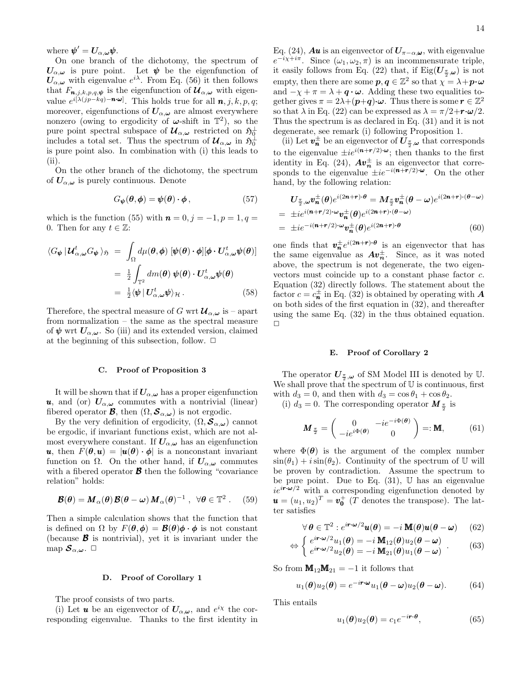where  $\pmb{\psi}' = \pmb{U}_{\alpha,\pmb{\omega}} \pmb{\psi}.$ 

On one branch of the dichotomy, the spectrum of  $U_{\alpha,\omega}$  is pure point. Let  $\psi$  be the eigenfunction of  $U_{\alpha,\omega}$  with eigenvalue  $e^{i\lambda}$ . From Eq. (56) it then follows that  $F_{n,j,k,p,q,\psi}$  is the eigenfunction of  $\mathcal{U}_{\alpha,\omega}$  with eigenvalue  $e^{i[\lambda(jp-kq)-\mathbf{n}\cdot\boldsymbol{\omega}]}$ . This holds true for all  $\mathbf{n}, j, k, p, q$ ; moreover, eigenfunctions of  $U_{\alpha,\omega}$  are almost everywhere nonzero (owing to ergodicity of  $\omega$ -shift in  $\mathbb{T}^2$ ), so the pure point spectral subspace of  $\mathcal{U}_{\alpha,\omega}$  restricted on  $\mathfrak{H}^{\perp}_{0}$ includes a total set. Thus the spectrum of  $\mathcal{U}_{\alpha,\omega}$  in  $\mathfrak{H}^{\perp}_{0}$ is pure point also. In combination with (i) this leads to (ii).

On the other branch of the dichotomy, the spectrum of  $U_{\alpha,\omega}$  is purely continuous. Denote

$$
G_{\boldsymbol{\psi}}(\boldsymbol{\theta}, \boldsymbol{\phi}) = \boldsymbol{\psi}(\boldsymbol{\theta}) \cdot \boldsymbol{\phi}, \qquad (57)
$$

which is the function (55) with  $\mathbf{n} = 0, j = -1, p = 1, q =$ 0. Then for any  $t \in \mathbb{Z}$ :

$$
\langle G_{\Psi} | \mathcal{U}_{\alpha,\omega}^{t} G_{\Psi} \rangle_{\mathfrak{H}} = \int_{\Omega} d\mu(\theta,\phi) \left[ \psi(\theta) \cdot \phi \right] [\phi \cdot U_{\alpha,\omega}^{t} \psi(\theta)]
$$

$$
= \frac{1}{2} \int_{\mathbb{T}^2} dm(\theta) \psi(\theta) \cdot U_{\alpha,\omega}^{t} \psi(\theta)
$$

$$
= \frac{1}{2} \langle \psi | U_{\alpha,\omega}^{t} \psi \rangle_{\mathcal{H}}. \tag{58}
$$

Therefore, the spectral measure of G wrt  $\mathcal{U}_{\alpha,\omega}$  is – apart from normalization – the same as the spectral measure of  $\psi$  wrt  $U_{\alpha,\omega}$ . So (iii) and its extended version, claimed at the beginning of this subsection, follow.  $\Box$ 

#### C. Proof of Proposition 3

It will be shown that if  $U_{\alpha,\omega}$  has a proper eigenfunction **u**, and (or)  $U_{\alpha,\omega}$  commutes with a nontrivial (linear) fibered operator **B**, then  $(\Omega, \mathcal{S}_{\alpha,\omega})$  is not ergodic.

By the very definition of ergodicity,  $(\Omega, \mathcal{S}_{\alpha,\omega})$  cannot be ergodic, if invariant functions exist, which are not almost everywhere constant. If  $U_{\alpha,\omega}$  has an eigenfunction u, then  $F(\theta, u) = |u(\theta) \cdot \phi|$  is a nonconstant invariant function on  $\Omega$ . On the other hand, if  $U_{\alpha,\omega}$  commutes with a fibered operator  $\boldsymbol{\beta}$  then the following "covariance" relation" holds:

$$
\mathcal{B}(\boldsymbol{\theta}) = \boldsymbol{M}_{\alpha}(\boldsymbol{\theta})\,\boldsymbol{\mathcal{B}}(\boldsymbol{\theta} - \boldsymbol{\omega})\,\boldsymbol{M}_{\alpha}(\boldsymbol{\theta})^{-1}\;,\;\;\forall \boldsymbol{\theta} \in \mathbb{T}^2\;.\qquad(59)
$$

Then a simple calculation shows that the function that is defined on  $\Omega$  by  $F(\theta, \phi) = \mathcal{B}(\theta)\phi \cdot \phi$  is not constant (because  $\boldsymbol{\beta}$  is nontrivial), yet it is invariant under the map  $S_{\alpha,\omega}$ .  $\Box$ 

#### D. Proof of Corollary 1

The proof consists of two parts.

(i) Let **u** be an eigenvector of  $U_{\alpha,\omega}$ , and  $e^{ix}$  the corresponding eigenvalue. Thanks to the first identity in

Eq. (24), **Au** is an eigenvector of  $U_{\pi-\alpha,\omega}$ , with eigenvalue  $e^{-i\chi+i\pi}$ . Since  $(\omega_1, \omega_2, \pi)$  is an incommensurate triple, it easily follows from Eq. (22) that, if  $\mathrm{Eig}(\boldsymbol{U}_{\frac{\pi}{2},\boldsymbol{\omega}})$  is not empty, then there are some  $p, q \in \mathbb{Z}^2$  so that  $\chi = \lambda + p \cdot \omega$ and  $-\chi + \pi = \lambda + q \cdot \omega$ . Adding these two equalities together gives  $\pi = 2\lambda + (p+q)\cdot \omega$ . Thus there is some  $r \in \mathbb{Z}^2$ so that  $\lambda$  in Eq. (22) can be expressed as  $\lambda = \pi/2 + \mathbf{r} \cdot \boldsymbol{\omega}/2$ . Thus the spectrum is as declared in Eq. (31) and it is not degenerate, see remark (i) following Proposition 1.

(ii) Let  $\pmb{v}_\pmb{n}^\pm$  be an eigenvector of  $\pmb{U}_{\frac{\pi}{2},\pmb{\omega}}$  that corresponds to the eigenvalue  $\pm ie^{i(n+r/2)\cdot\omega}$ ; then thanks to the first identity in Eq. (24),  $A v_n^{\pm}$  is an eigenvector that corresponds to the eigenvalue  $\pm i e^{-i(n+\vec{r}/2)}\cdot \omega$ . On the other hand, by the following relation:

$$
U_{\frac{\pi}{2},\omega}v_n^{\pm}(\theta)e^{i(2n+r)\cdot\theta} = M_{\frac{\pi}{2}}v_n^{\pm}(\theta-\omega)e^{i(2n+r)\cdot(\theta-\omega)}
$$
  
=  $\pm ie^{i(n+r/2)\cdot\omega}v_n^{\pm}(\theta)e^{i(2n+r)\cdot(\theta-\omega)}$   
=  $\pm ie^{-i(n+r/2)\cdot\omega}v_n^{\pm}(\theta)e^{i(2n+r)\cdot\theta}$  (60)

one finds that  $v_n^{\pm}e^{i(2n+r)\cdot\theta}$  is an eigenvector that has the same eigenvalue as  $Av_n^{\pm}$ . Since, as it was noted above, the spectrum is not degenerate, the two eigenvectors must coincide up to a constant phase factor c. Equation (32) directly follows. The statement about the factor  $c = c_n^{\pm}$  in Eq. (32) is obtained by operating with  $A$ on both sides of the first equation in (32), and thereafter using the same Eq. (32) in the thus obtained equation.  $\Box$ 

### E. Proof of Corollary 2

The operator  $U_{\frac{\pi}{2},\omega}$  of SM Model III is denoted by U. We shall prove that the spectrum of U is continuous, first with  $d_3 = 0$ , and then with  $d_3 = \cos \theta_1 + \cos \theta_2$ .

(i)  $d_3 = 0$ . The corresponding operator  $\mathbf{M}_{\frac{\pi}{2}}$  is

$$
\mathbf{M}_{\frac{\pi}{2}} = \begin{pmatrix} 0 & -ie^{-i\Phi(\boldsymbol{\theta})} \\ -ie^{i\Phi(\boldsymbol{\theta})} & 0 \end{pmatrix} =: \mathbf{M}, \quad (61)
$$

where  $\Phi(\theta)$  is the argument of the complex number  $\sin(\theta_1) + i \sin(\theta_2)$ . Continuity of the spectrum of U will be proven by contradiction. Assume the spectrum to be pure point. Due to Eq.  $(31)$ , U has an eigenvalue  $ie^{i\mathbf{r}\cdot\boldsymbol{\omega}/2}$  with a corresponding eigenfunction denoted by  $\mathbf{u} = (u_1, u_2)^T = \mathbf{v}_0^+$  (T denotes the transpose). The latter satisfies

$$
\forall \boldsymbol{\theta} \in \mathbb{T}^2 : e^{i\boldsymbol{r}\cdot\boldsymbol{\omega}/2}\boldsymbol{u}(\boldsymbol{\theta}) = -i \mathbf{M}(\boldsymbol{\theta})\boldsymbol{u}(\boldsymbol{\theta} - \boldsymbol{\omega}) \qquad (62)
$$

$$
\Leftrightarrow \begin{cases} e^{i\mathbf{r}\cdot\boldsymbol{\omega}/2}u_1(\boldsymbol{\theta}) = -i \mathbf{M}_{12}(\boldsymbol{\theta})u_2(\boldsymbol{\theta}-\boldsymbol{\omega}) \\ e^{i\mathbf{r}\cdot\boldsymbol{\omega}/2}u_2(\boldsymbol{\theta}) = -i \mathbf{M}_{21}(\boldsymbol{\theta})u_1(\boldsymbol{\theta}-\boldsymbol{\omega}) \end{cases} . \tag{63}
$$

So from  $M_{12}M_{21} = -1$  it follows that

$$
u_1(\boldsymbol{\theta})u_2(\boldsymbol{\theta}) = e^{-i\boldsymbol{r}\cdot\boldsymbol{\omega}}u_1(\boldsymbol{\theta}-\boldsymbol{\omega})u_2(\boldsymbol{\theta}-\boldsymbol{\omega}). \hspace{1cm} (64)
$$

This entails

$$
u_1(\boldsymbol{\theta})u_2(\boldsymbol{\theta}) = c_1 e^{-i\boldsymbol{r}\cdot\boldsymbol{\theta}},\tag{65}
$$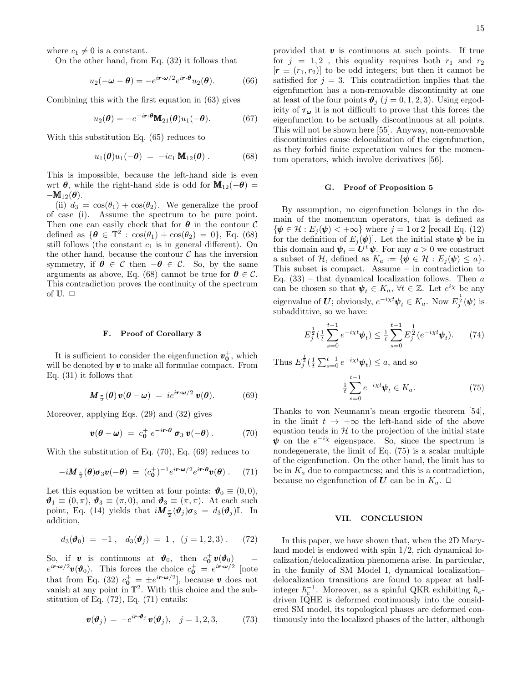where  $c_1 \neq 0$  is a constant.

On the other hand, from Eq. (32) it follows that

$$
u_2(-\omega - \theta) = -e^{i\mathbf{r}\cdot\mathbf{\omega}/2}e^{i\mathbf{r}\cdot\theta}u_2(\theta). \tag{66}
$$

Combining this with the first equation in (63) gives

$$
u_2(\boldsymbol{\theta}) = -e^{-i\boldsymbol{r}\cdot\boldsymbol{\theta}} \mathbf{M}_{21}(\boldsymbol{\theta}) u_1(-\boldsymbol{\theta}). \tag{67}
$$

With this substitution Eq. (65) reduces to

$$
u_1(\boldsymbol{\theta})u_1(-\boldsymbol{\theta}) = -ic_1 \mathbf{M}_{12}(\boldsymbol{\theta}). \qquad (68)
$$

This is impossible, because the left-hand side is even wrt  $\theta$ , while the right-hand side is odd for  $\mathbf{M}_{12}(-\theta)$  =  $-\mathbf{M}_{12}(\boldsymbol{\theta}).$ 

(ii)  $d_3 = \cos(\theta_1) + \cos(\theta_2)$ . We generalize the proof of case (i). Assume the spectrum to be pure point. Then one can easily check that for  $\theta$  in the contour  $\mathcal C$ defined as  $\{\boldsymbol{\theta} \in \mathbb{T}^2 : \cos(\theta_1) + \cos(\theta_2) = 0\}$ , Eq. (68) still follows (the constant  $c_1$  is in general different). On the other hand, because the contour  $\mathcal C$  has the inversion symmetry, if  $\theta \in \mathcal{C}$  then  $-\theta \in \mathcal{C}$ . So, by the same arguments as above, Eq. (68) cannot be true for  $\theta \in \mathcal{C}$ . This contradiction proves the continuity of the spectrum of  $\mathbb U$ .  $\Box$ 

#### F. Proof of Corollary 3

It is sufficient to consider the eigenfunction  $v_0^+$ , which will be denoted by  $v$  to make all formulae compact. From Eq. (31) it follows that

$$
\mathbf{M}_{\frac{\pi}{2}}(\boldsymbol{\theta})\,\mathbf{v}(\boldsymbol{\theta}-\boldsymbol{\omega})\;=\;ie^{i\boldsymbol{r}\cdot\boldsymbol{\omega}/2}\,\mathbf{v}(\boldsymbol{\theta}).\qquad\qquad(69)
$$

Moreover, applying Eqs. (29) and (32) gives

$$
\mathbf{v}(\boldsymbol{\theta} - \boldsymbol{\omega}) = c_0^+ e^{-i \boldsymbol{r} \cdot \boldsymbol{\theta}} \boldsymbol{\sigma}_3 \, \boldsymbol{v}(-\boldsymbol{\theta}) \,. \tag{70}
$$

With the substitution of Eq. (70), Eq. (69) reduces to

$$
-i\mathbf{M}_{\frac{\pi}{2}}(\boldsymbol{\theta})\boldsymbol{\sigma}_3\boldsymbol{v}(-\boldsymbol{\theta}) = (c_0^+)^{-1}e^{i\boldsymbol{r}\cdot\boldsymbol{\omega}/2}e^{i\boldsymbol{r}\cdot\boldsymbol{\theta}}\boldsymbol{v}(\boldsymbol{\theta})\ .\tag{71}
$$

Let this equation be written at four points:  $\mathbf{\hat{v}}_0 \equiv (0,0)$ ,  $\mathbf{\vartheta}_1 \equiv (0, \pi), \mathbf{\vartheta}_3 \equiv (\pi, 0), \text{ and } \mathbf{\vartheta}_3 \equiv (\pi, \pi).$  At each such point, Eq. (14) yields that  $i\mathbf{M}_{\frac{\pi}{2}}(\boldsymbol{\vartheta}_j)\boldsymbol{\sigma}_3 = d_3(\boldsymbol{\vartheta}_j)$ I. In addition,

$$
d_3(\boldsymbol{\vartheta}_0) = -1\,,\ \ d_3(\boldsymbol{\vartheta}_j) = 1\,,\ \ (j = 1, 2, 3)\,.\tag{72}
$$

So, if **v** is continuous at  $\mathbf{\hat{v}}_0$ , then  $c_0^+ \mathbf{v}(\mathbf{\hat{v}}_0)$  =  $e^{i\mathbf{r}\cdot\boldsymbol{\omega}/2}\boldsymbol{v}(\boldsymbol{\vartheta}_0)$ . This forces the choice  $c_0^+ = e^{i\mathbf{r}\cdot\boldsymbol{\omega}/2}$  [note that from Eq. (32)  $c_0^+ = \pm e^{i \mathbf{r} \cdot \boldsymbol{\omega}/2}$ , because v does not vanish at any point in  $\mathbb{T}^2$ . With this choice and the substitution of Eq. (72), Eq. (71) entails:

$$
\boldsymbol{v}(\boldsymbol{\vartheta}_j) = -e^{i\boldsymbol{r}\cdot\boldsymbol{\vartheta}_j}\,\boldsymbol{v}(\boldsymbol{\vartheta}_j), \quad j=1,2,3,\tag{73}
$$

provided that  $v$  is continuous at such points. If true for  $j = 1, 2$ , this equality requires both  $r_1$  and  $r_2$  $[r \equiv (r_1, r_2)]$  to be odd integers; but then it cannot be satisfied for  $j = 3$ . This contradiction implies that the eigenfunction has a non-removable discontinuity at one at least of the four points  $\mathbf{\vartheta}_i$  ( $j = 0, 1, 2, 3$ ). Using ergodicity of  $\tau_{\omega}$  it is not difficult to prove that this forces the eigenfunction to be actually discontinuous at all points. This will not be shown here [55]. Anyway, non-removable discontinuities cause delocalization of the eigenfunction, as they forbid finite expectation values for the momentum operators, which involve derivatives [56].

### G. Proof of Proposition 5

By assumption, no eigenfunction belongs in the domain of the momentum operators, that is defined as  $\{\psi \in \mathcal{H} : E_i(\psi) < +\infty\}$  where  $j = 1$  or 2 [recall Eq. (12)] for the definition of  $E_j(\psi)$ . Let the initial state  $\psi$  be in this domain and  $\psi_t = U^t \psi$ . For any  $a > 0$  we construct a subset of  $\mathcal{H}$ , defined as  $K_a := \{ \psi \in \mathcal{H} : E_j(\psi) \leq a \}.$ This subset is compact. Assume – in contradiction to Eq.  $(33)$  – that dynamical localization follows. Then a can be chosen so that  $\psi_t \in K_a$ ,  $\forall t \in \mathbb{Z}$ . Let  $e^{i\chi}$  be any eigenvalue of U; obviously,  $e^{-i\chi t}\psi_t \in K_a$ . Now  $E_j^{\frac{1}{2}}(\psi)$  is subaddittive, so we have:

$$
E_j^{\frac{1}{2}}\left(\frac{1}{t}\sum_{s=0}^{t-1}e^{-i\chi t}\boldsymbol{\psi}_t\right) \leq \frac{1}{t}\sum_{s=0}^{t-1}E_j^{\frac{1}{2}}(e^{-i\chi t}\boldsymbol{\psi}_t). \tag{74}
$$

Thus  $E_j^{\frac{1}{2}}(\frac{1}{t}\sum_{s=0}^{t-1}e^{-i\chi t}\psi_t) \leq a$ , and so

$$
\frac{1}{t}\sum_{s=0}^{t-1}e^{-i\chi t}\psi_t \in K_a.
$$
\n(75)

Thanks to von Neumann's mean ergodic theorem [54], in the limit  $t \to +\infty$  the left-hand side of the above equation tends in  $H$  to the projection of the initial state  $\psi$  on the  $e^{-i\chi}$  eigenspace. So, since the spectrum is nondegenerate, the limit of Eq. (75) is a scalar multiple of the eigenfunction. On the other hand, the limit has to be in  $K_a$  due to compactness; and this is a contradiction, because no eigenfunction of U can be in  $K_a$ .  $\Box$ 

#### VII. CONCLUSION

In this paper, we have shown that, when the 2D Maryland model is endowed with spin 1/2, rich dynamical localization/delocalization phenomena arise. In particular, in the family of SM Model I, dynamical localization– delocalization transitions are found to appear at halfinteger  $\hbar_e^{-1}$ . Moreover, as a spinful QKR exhibiting  $\hbar_e$ driven IQHE is deformed continuously into the considered SM model, its topological phases are deformed continuously into the localized phases of the latter, although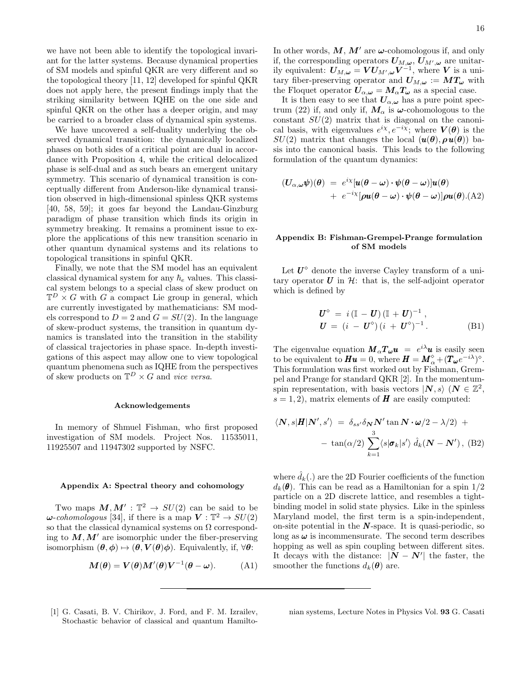we have not been able to identify the topological invariant for the latter systems. Because dynamical properties of SM models and spinful QKR are very different and so the topological theory [11, 12] developed for spinful QKR does not apply here, the present findings imply that the striking similarity between IQHE on the one side and spinful QKR on the other has a deeper origin, and may be carried to a broader class of dynamical spin systems.

We have uncovered a self-duality underlying the observed dynamical transition: the dynamically localized phases on both sides of a critical point are dual in accordance with Proposition 4, while the critical delocalized phase is self-dual and as such bears an emergent unitary symmetry. This scenario of dynamical transition is conceptually different from Anderson-like dynamical transition observed in high-dimensional spinless QKR systems [40, 58, 59]; it goes far beyond the Landau-Ginzburg paradigm of phase transition which finds its origin in symmetry breaking. It remains a prominent issue to explore the applications of this new transition scenario in other quantum dynamical systems and its relations to topological transitions in spinful QKR.

Finally, we note that the SM model has an equivalent classical dynamical system for any  $h_e$  values. This classical system belongs to a special class of skew product on  $\mathbb{T}^D \times G$  with G a compact Lie group in general, which are currently investigated by mathematicians: SM models correspond to  $D = 2$  and  $G = SU(2)$ . In the language of skew-product systems, the transition in quantum dynamics is translated into the transition in the stability of classical trajectories in phase space. In-depth investigations of this aspect may allow one to view topological quantum phenomena such as IQHE from the perspectives of skew products on  $\mathbb{T}^D \times G$  and vice versa.

### Acknowledgements

In memory of Shmuel Fishman, who first proposed investigation of SM models. Project Nos. 11535011, 11925507 and 11947302 supported by NSFC.

### Appendix A: Spectral theory and cohomology

Two maps  $M, M' : \mathbb{T}^2 \to SU(2)$  can be said to be  $\omega$ -cohomologous [34], if there is a map  $V : \mathbb{T}^2 \to SU(2)$ so that the classical dynamical systems on  $\Omega$  corresponding to  $M, M'$  are isomorphic under the fiber-preserving isomorphism  $(\theta, \phi) \mapsto (\theta, V(\theta)\phi)$ . Equivalently, if,  $\forall \theta$ :

$$
\mathbf{M}(\boldsymbol{\theta}) = \mathbf{V}(\boldsymbol{\theta})\mathbf{M}'(\boldsymbol{\theta})\mathbf{V}^{-1}(\boldsymbol{\theta} - \boldsymbol{\omega}).
$$
 (A1)

In other words,  $M, M'$  are  $\omega$ -cohomologous if, and only if, the corresponding operators  $U_{M, \omega}$ ,  $U_{M', \omega}$  are unitarily equivalent:  $U_{M,\omega} = V U_{M',\omega} V^{-1}$ , where V is a unitary fiber-preserving operator and  $U_{M,\omega} := MT_{\omega}$  with the Floquet operator  $U_{\alpha,\omega} = M_{\alpha} T_{\omega}$  as a special case.

It is then easy to see that  $U_{\alpha,\omega}$  has a pure point spectrum (22) if, and only if,  $M_{\alpha}$  is  $\omega$ -cohomologous to the constant  $SU(2)$  matrix that is diagonal on the canonical basis, with eigenvalues  $e^{i\chi}, e^{-i\chi}$ ; where  $V(\theta)$  is the  $SU(2)$  matrix that changes the local  $(\mathbf{u}(\theta), \rho \mathbf{u}(\theta))$  basis into the canonical basis. This leads to the following formulation of the quantum dynamics:

$$
\begin{array}{rcl}\n(U_{\alpha,\omega}\psi)(\theta) & = & e^{i\chi}[u(\theta-\omega)\cdot\psi(\theta-\omega)]u(\theta) \\
& + & e^{-i\chi}[\rho u(\theta-\omega)\cdot\psi(\theta-\omega)]\rho u(\theta) .\n\end{array}
$$

## Appendix B: Fishman-Grempel-Prange formulation of SM models

Let  $U^{\diamond}$  denote the inverse Cayley transform of a unitary operator  $U$  in  $H$ : that is, the self-adjoint operator which is defined by

$$
\begin{aligned} \boldsymbol{U}^{\diamond} &= i \left( \mathbb{I} - \boldsymbol{U} \right) \left( \mathbb{I} + \boldsymbol{U} \right)^{-1}, \\ \boldsymbol{U} &= (i - \boldsymbol{U}^{\diamond}) \left( i + \boldsymbol{U}^{\diamond} \right)^{-1}. \end{aligned} \tag{B1}
$$

The eigenvalue equation  $M_{\alpha}T_{\omega}u = e^{i\lambda}u$  is easily seen to be equivalent to  $\boldsymbol{H}\boldsymbol{u} = 0$ , where  $\boldsymbol{H} = \boldsymbol{M}_{\alpha}^{\diamond} + (\boldsymbol{T}_{\boldsymbol{\omega}}e^{-i\lambda})^{\diamond}$ . This formulation was first worked out by Fishman, Grempel and Prange for standard QKR [2]. In the momentumspin representation, with basis vectors  $|N, s\rangle$   $(N \in \mathbb{Z}^2)$ ,  $s = 1, 2$ , matrix elements of **H** are easily computed:

$$
\langle \mathbf{N}, s | \mathbf{H} | \mathbf{N}', s' \rangle = \delta_{ss'} \delta_{\mathbf{N}} \mathbf{N}' \tan \mathbf{N} \cdot \boldsymbol{\omega} / 2 - \lambda / 2) +
$$

$$
- \tan(\alpha / 2) \sum_{k=1}^{3} \langle s | \boldsymbol{\sigma}_{k} | s' \rangle \hat{d}_{k} (\mathbf{N} - \mathbf{N}') , \text{ (B2)}
$$

where  $\hat{d}_k(.)$  are the 2D Fourier coefficients of the function  $d_k(\theta)$ . This can be read as a Hamiltonian for a spin  $1/2$ particle on a 2D discrete lattice, and resembles a tightbinding model in solid state physics. Like in the spinless Maryland model, the first term is a spin-independent, on-site potential in the  $N$ -space. It is quasi-periodic, so long as  $\omega$  is incommensurate. The second term describes hopping as well as spin coupling between different sites. It decays with the distance:  $|N - N'|$  the faster, the smoother the functions  $d_k(\theta)$  are.

[1] G. Casati, B. V. Chirikov, J. Ford, and F. M. Izrailev, Stochastic behavior of classical and quantum Hamiltonian systems, Lecture Notes in Physics Vol. 93 G. Casati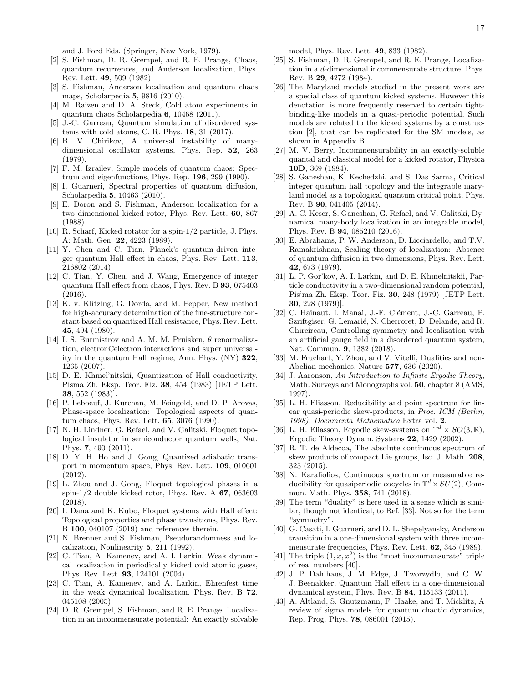and J. Ford Eds. (Springer, New York, 1979).

- [2] S. Fishman, D. R. Grempel, and R. E. Prange, Chaos, quantum recurrences, and Anderson localization, Phys. Rev. Lett. 49, 509 (1982).
- [3] S. Fishman, Anderson localization and quantum chaos maps, Scholarpedia 5, 9816 (2010).
- [4] M. Raizen and D. A. Steck, Cold atom experiments in quantum chaos Scholarpedia 6, 10468 (2011).
- [5] J.-C. Garreau, Quantum simulation of disordered systems with cold atoms, C. R. Phys. 18, 31 (2017).
- [6] B. V. Chirikov, A universal instability of manydimensional oscillator systems, Phys. Rep. 52, 263 (1979).
- [7] F. M. Izrailev, Simple models of quantum chaos: Spectrum and eigenfunctions, Phys. Rep. 196, 299 (1990).
- [8] I. Guarneri, Spectral properties of quantum diffusion, Scholarpedia 5, 10463 (2010).
- [9] E. Doron and S. Fishman, Anderson localization for a two dimensional kicked rotor, Phys. Rev. Lett. 60, 867 (1988).
- [10] R. Scharf, Kicked rotator for a spin-1/2 particle, J. Phys. A: Math. Gen. 22, 4223 (1989).
- [11] Y. Chen and C. Tian, Planck's quantum-driven integer quantum Hall effect in chaos, Phys. Rev. Lett. 113, 216802 (2014).
- [12] C. Tian, Y. Chen, and J. Wang, Emergence of integer quantum Hall effect from chaos, Phys. Rev. B 93, 075403 (2016).
- [13] K. v. Klitzing, G. Dorda, and M. Pepper, New method for high-accuracy determination of the fine-structure constant based on quantized Hall resistance, Phys. Rev. Lett. 45, 494 (1980).
- [14] I. S. Burmistrov and A. M. M. Pruisken,  $\theta$  renormalization, electronCelectron interactions and super universality in the quantum Hall regime, Ann. Phys. (NY) 322, 1265 (2007).
- [15] D. E. Khmel'nitskii, Quantization of Hall conductivity, Pisma Zh. Eksp. Teor. Fiz. 38, 454 (1983) [JETP Lett. 38, 552 (1983)].
- [16] P. Leboeuf, J. Kurchan, M. Feingold, and D. P. Arovas, Phase-space localization: Topological aspects of quantum chaos, Phys. Rev. Lett. 65, 3076 (1990).
- [17] N. H. Lindner, G. Refael, and V. Galitski, Floquet topological insulator in semiconductor quantum wells, Nat. Phys. 7, 490 (2011).
- [18] D. Y. H. Ho and J. Gong, Quantized adiabatic transport in momentum space, Phys. Rev. Lett. 109, 010601 (2012).
- [19] L. Zhou and J. Gong, Floquet topological phases in a spin-1/2 double kicked rotor, Phys. Rev. A 67, 063603 (2018).
- [20] I. Dana and K. Kubo, Floquet systems with Hall effect: Topological properties and phase transitions, Phys. Rev. B 100, 040107 (2019) and references therein.
- [21] N. Brenner and S. Fishman, Pseudorandomness and localization, Nonlinearity 5, 211 (1992).
- [22] C. Tian, A. Kamenev, and A. I. Larkin, Weak dynamical localization in periodically kicked cold atomic gases, Phys. Rev. Lett. 93, 124101 (2004).
- [23] C. Tian, A. Kamenev, and A. Larkin, Ehrenfest time in the weak dynamical localization, Phys. Rev. B 72, 045108 (2005).
- [24] D. R. Grempel, S. Fishman, and R. E. Prange, Localization in an incommensurate potential: An exactly solvable

model, Phys. Rev. Lett. 49, 833 (1982).

- [25] S. Fishman, D. R. Grempel, and R. E. Prange, Localization in a d-dimensional incommensurate structure, Phys. Rev. B 29, 4272 (1984).
- [26] The Maryland models studied in the present work are a special class of quantum kicked systems. However this denotation is more frequently reserved to certain tightbinding-like models in a quasi-periodic potential. Such models are related to the kicked systems by a construction [2], that can be replicated for the SM models, as shown in Appendix B.
- [27] M. V. Berry, Incommensurability in an exactly-soluble quantal and classical model for a kicked rotator, Physica 10D, 369 (1984).
- [28] S. Ganeshan, K. Kechedzhi, and S. Das Sarma, Critical integer quantum hall topology and the integrable maryland model as a topological quantum critical point. Phys. Rev. B 90, 041405 (2014).
- [29] A. C. Keser, S. Ganeshan, G. Refael, and V. Galitski, Dynamical many-body localization in an integrable model, Phys. Rev. B 94, 085210 (2016).
- [30] E. Abrahams, P. W. Anderson, D. Licciardello, and T.V. Ramakrishnan, Scaling theory of localization: Absence of quantum diffusion in two dimensions, Phys. Rev. Lett. 42, 673 (1979).
- [31] L. P. Gor'kov, A. I. Larkin, and D. E. Khmelnitskii, Particle conductivity in a two-dimensional random potential, Pis'ma Zh. Eksp. Teor. Fiz. 30, 248 (1979) [JETP Lett. 30, 228 (1979)].
- [32] C. Hainaut, I. Manai, J.-F. Clément, J.-C. Garreau, P. Szriftgiser, G. Lemarié, N. Cherroret, D. Delande, and R. Chircireau, Controlling symmetry and localization with an artificial gauge field in a disordered quantum system, Nat. Commun. 9, 1382 (2018).
- [33] M. Fruchart, Y. Zhou, and V. Vitelli, Dualities and non-Abelian mechanics, Nature 577, 636 (2020).
- [34] J. Aaronson, An Introduction to Infinite Ergodic Theory, Math. Surveys and Monographs vol. 50, chapter 8 (AMS, 1997).
- [35] L. H. Eliasson, Reducibility and point spectrum for linear quasi-periodic skew-products, in Proc. ICM (Berlin, 1998). Documenta Mathematica Extra vol. 2.
- [36] L. H. Eliasson, Ergodic skew-systems on  $\mathbb{T}^d \times SO(3,\mathbb{R})$ , Ergodic Theory Dynam. Systems 22, 1429 (2002).
- [37] R. T. de Aldecoa, The absolute continuous spectrum of skew products of compact Lie groups, Isc. J. Math. 208, 323 (2015).
- [38] N. Karaliolios, Continuous spectrum or measurable reducibility for quasiperiodic cocycles in  $\mathbb{T}^d \times SU(2)$ , Commun. Math. Phys. 358, 741 (2018).
- [39] The term "duality" is here used in a sense which is similar, though not identical, to Ref. [33]. Not so for the term "symmetry".
- [40] G. Casati, I. Guarneri, and D. L. Shepelyansky, Anderson transition in a one-dimensional system with three incommensurate frequencies, Phys. Rev. Lett. 62, 345 (1989).
- [41] The triple  $(1, x, x^2)$  is the "most incommensurate" triple of real numbers [40].
- [42] J. P. Dahlhaus, J. M. Edge, J. Tworzydlo, and C. W. J. Beenakker, Quantum Hall effect in a one-dimensional dynamical system, Phys. Rev. B 84, 115133 (2011).
- [43] A. Altland, S. Gnutzmann, F. Haake, and T. Micklitz, A review of sigma models for quantum chaotic dynamics, Rep. Prog. Phys. 78, 086001 (2015).